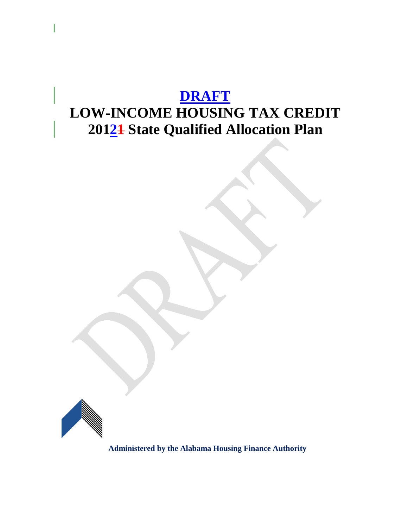# **DRAFT LOW-INCOME HOUSING TAX CREDIT 20121 State Qualified Allocation Plan**



**Administered by the Alabama Housing Finance Authority**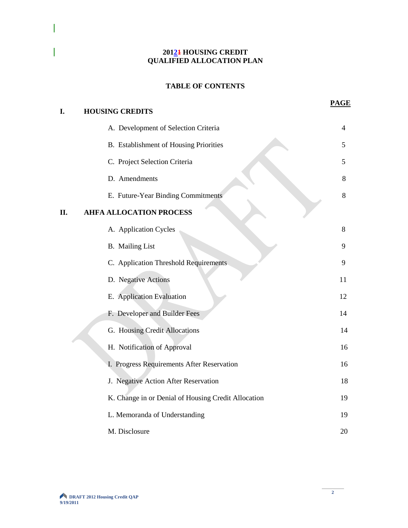#### **20121 HOUSING CREDIT QUALIFIED ALLOCATION PLAN**

# **TABLE OF CONTENTS**

| I. | <b>HOUSING CREDITS</b>                              | <b>PAGE</b> |
|----|-----------------------------------------------------|-------------|
|    | A. Development of Selection Criteria                | 4           |
|    | B. Establishment of Housing Priorities              | 5           |
|    | C. Project Selection Criteria                       | 5           |
|    | D. Amendments                                       | 8           |
|    | E. Future-Year Binding Commitments                  | 8           |
| Η. | <b>AHFA ALLOCATION PROCESS</b>                      |             |
|    | A. Application Cycles                               | 8           |
|    | <b>B.</b> Mailing List                              | 9           |
|    | C. Application Threshold Requirements               | 9           |
|    | D. Negative Actions                                 | 11          |
|    | E. Application Evaluation                           | 12          |
|    | F. Developer and Builder Fees                       | 14          |
|    | G. Housing Credit Allocations                       | 14          |
|    | H. Notification of Approval                         | 16          |
|    | I. Progress Requirements After Reservation          | 16          |
|    | J. Negative Action After Reservation                | 18          |
|    | K. Change in or Denial of Housing Credit Allocation | 19          |
|    | L. Memoranda of Understanding                       | 19          |
|    | M. Disclosure                                       | 20          |

 $\overline{\phantom{a}}$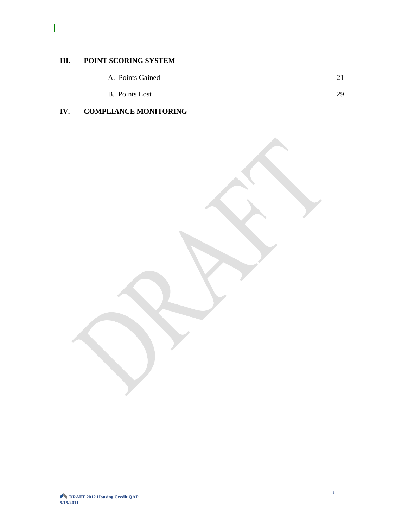# **III. POINT SCORING SYSTEM**

 $\overline{\phantom{a}}$ 

- A. Points Gained 21
- B. Points Lost 29

# **IV. COMPLIANCE MONITORING**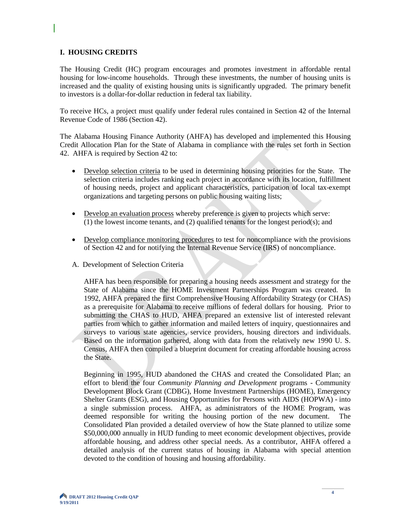#### **I. HOUSING CREDITS**

The Housing Credit (HC) program encourages and promotes investment in affordable rental housing for low-income households. Through these investments, the number of housing units is increased and the quality of existing housing units is significantly upgraded. The primary benefit to investors is a dollar-for-dollar reduction in federal tax liability.

To receive HCs, a project must qualify under federal rules contained in Section 42 of the Internal Revenue Code of 1986 (Section 42).

The Alabama Housing Finance Authority (AHFA) has developed and implemented this Housing Credit Allocation Plan for the State of Alabama in compliance with the rules set forth in Section 42. AHFA is required by Section 42 to:

- Develop selection criteria to be used in determining housing priorities for the State. The selection criteria includes ranking each project in accordance with its location, fulfillment of housing needs, project and applicant characteristics, participation of local tax-exempt organizations and targeting persons on public housing waiting lists;
- Develop an evaluation process whereby preference is given to projects which serve: (1) the lowest income tenants, and (2) qualified tenants for the longest period(s); and
- Develop compliance monitoring procedures to test for noncompliance with the provisions of Section 42 and for notifying the Internal Revenue Service (IRS) of noncompliance.
- A. Development of Selection Criteria

AHFA has been responsible for preparing a housing needs assessment and strategy for the State of Alabama since the HOME Investment Partnerships Program was created. In 1992, AHFA prepared the first Comprehensive Housing Affordability Strategy (or CHAS) as a prerequisite for Alabama to receive millions of federal dollars for housing. Prior to submitting the CHAS to HUD, AHFA prepared an extensive list of interested relevant parties from which to gather information and mailed letters of inquiry, questionnaires and surveys to various state agencies, service providers, housing directors and individuals. Based on the information gathered, along with data from the relatively new 1990 U. S. Census, AHFA then compiled a blueprint document for creating affordable housing across the State.

Beginning in 1995, HUD abandoned the CHAS and created the Consolidated Plan; an effort to blend the four *Community Planning and Development* programs - Community Development Block Grant (CDBG), Home Investment Partnerships (HOME), Emergency Shelter Grants (ESG), and Housing Opportunities for Persons with AIDS (HOPWA) - into a single submission process. AHFA, as administrators of the HOME Program, was deemed responsible for writing the housing portion of the new document. The Consolidated Plan provided a detailed overview of how the State planned to utilize some \$50,000,000 annually in HUD funding to meet economic development objectives, provide affordable housing, and address other special needs. As a contributor, AHFA offered a detailed analysis of the current status of housing in Alabama with special attention devoted to the condition of housing and housing affordability.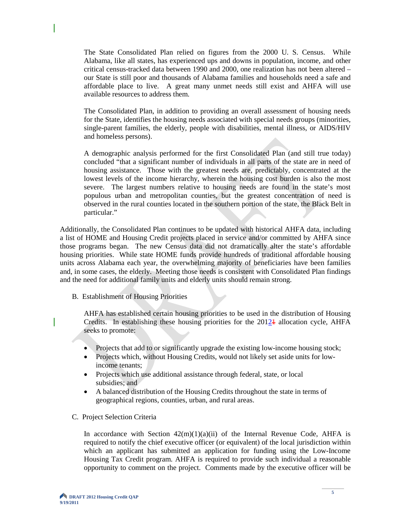The State Consolidated Plan relied on figures from the 2000 U. S. Census. While Alabama, like all states, has experienced ups and downs in population, income, and other critical census-tracked data between 1990 and 2000, one realization has not been altered – our State is still poor and thousands of Alabama families and households need a safe and affordable place to live. A great many unmet needs still exist and AHFA will use available resources to address them.

The Consolidated Plan, in addition to providing an overall assessment of housing needs for the State, identifies the housing needs associated with special needs groups (minorities, single-parent families, the elderly, people with disabilities, mental illness, or AIDS/HIV and homeless persons).

A demographic analysis performed for the first Consolidated Plan (and still true today) concluded "that a significant number of individuals in all parts of the state are in need of housing assistance. Those with the greatest needs are, predictably, concentrated at the lowest levels of the income hierarchy, wherein the housing cost burden is also the most severe. The largest numbers relative to housing needs are found in the state's most populous urban and metropolitan counties, but the greatest concentration of need is observed in the rural counties located in the southern portion of the state, the Black Belt in particular."

Additionally, the Consolidated Plan continues to be updated with historical AHFA data, including a list of HOME and Housing Credit projects placed in service and/or committed by AHFA since those programs began. The new Census data did not dramatically alter the state's affordable housing priorities. While state HOME funds provide hundreds of traditional affordable housing units across Alabama each year, the overwhelming majority of beneficiaries have been families and, in some cases, the elderly. Meeting those needs is consistent with Consolidated Plan findings and the need for additional family units and elderly units should remain strong.

B. Establishment of Housing Priorities

AHFA has established certain housing priorities to be used in the distribution of Housing Credits. In establishing these housing priorities for the  $2012\text{+}$  allocation cycle, AHFA seeks to promote:

- Projects that add to or significantly upgrade the existing low-income housing stock;
- Projects which, without Housing Credits, would not likely set aside units for lowincome tenants;
- Projects which use additional assistance through federal, state, or local subsidies; and
- A balanced distribution of the Housing Credits throughout the state in terms of geographical regions, counties, urban, and rural areas.
- C. Project Selection Criteria

In accordance with Section  $42(m)(1)(a)(ii)$  of the Internal Revenue Code, AHFA is required to notify the chief executive officer (or equivalent) of the local jurisdiction within which an applicant has submitted an application for funding using the Low-Income Housing Tax Credit program. AHFA is required to provide such individual a reasonable opportunity to comment on the project. Comments made by the executive officer will be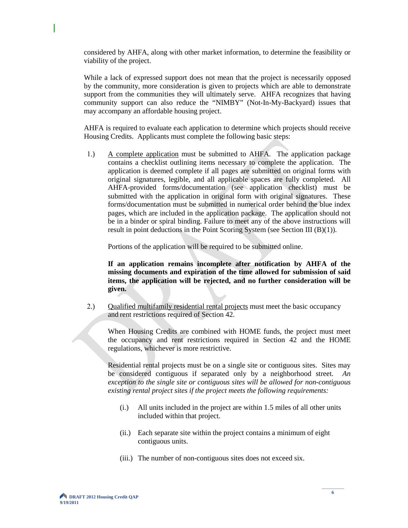considered by AHFA, along with other market information, to determine the feasibility or viability of the project.

While a lack of expressed support does not mean that the project is necessarily opposed by the community, more consideration is given to projects which are able to demonstrate support from the communities they will ultimately serve. AHFA recognizes that having community support can also reduce the "NIMBY" (Not-In-My-Backyard) issues that may accompany an affordable housing project.

AHFA is required to evaluate each application to determine which projects should receive Housing Credits. Applicants must complete the following basic steps:

1.) A complete application must be submitted to AHFA. The application package contains a checklist outlining items necessary to complete the application. The application is deemed complete if all pages are submitted on original forms with original signatures, legible, and all applicable spaces are fully completed. All AHFA-provided forms/documentation (see application checklist) must be submitted with the application in original form with original signatures. These forms/documentation must be submitted in numerical order behind the blue index pages, which are included in the application package. The application should not be in a binder or spiral binding. Failure to meet any of the above instructions will result in point deductions in the Point Scoring System (see Section III (B)(1)).

Portions of the application will be required to be submitted online.

**If an application remains incomplete after notification by AHFA of the missing documents and expiration of the time allowed for submission of said items, the application will be rejected, and no further consideration will be given.**

2.) Qualified multifamily residential rental projects must meet the basic occupancy and rent restrictions required of Section 42.

When Housing Credits are combined with HOME funds, the project must meet the occupancy and rent restrictions required in Section 42 and the HOME regulations, whichever is more restrictive.

Residential rental projects must be on a single site or contiguous sites. Sites may be considered contiguous if separated only by a neighborhood street. *An exception to the single site or contiguous sites will be allowed for non-contiguous existing rental project sites if the project meets the following requirements:*

- (i.) All units included in the project are within 1.5 miles of all other units included within that project.
- (ii.) Each separate site within the project contains a minimum of eight contiguous units.
- (iii.) The number of non-contiguous sites does not exceed six.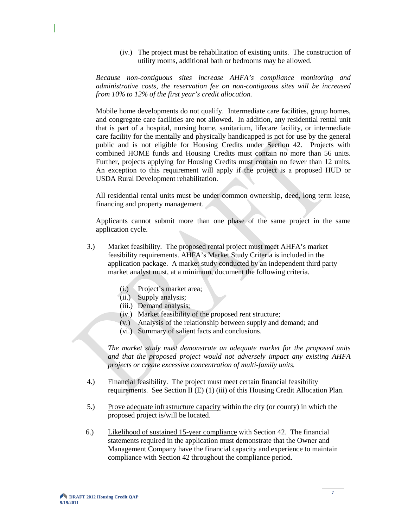(iv.) The project must be rehabilitation of existing units. The construction of utility rooms, additional bath or bedrooms may be allowed.

*Because non-contiguous sites increase AHFA's compliance monitoring and administrative costs, the reservation fee on non-contiguous sites will be increased from 10% to 12% of the first year's credit allocation.*

Mobile home developments do not qualify. Intermediate care facilities, group homes, and congregate care facilities are not allowed. In addition, any residential rental unit that is part of a hospital, nursing home, sanitarium, lifecare facility, or intermediate care facility for the mentally and physically handicapped is not for use by the general public and is not eligible for Housing Credits under Section 42. Projects with combined HOME funds and Housing Credits must contain no more than 56 units. Further, projects applying for Housing Credits must contain no fewer than 12 units. An exception to this requirement will apply if the project is a proposed HUD or USDA Rural Development rehabilitation.

All residential rental units must be under common ownership, deed, long term lease, financing and property management.

Applicants cannot submit more than one phase of the same project in the same application cycle.

- 3.) Market feasibility. The proposed rental project must meet AHFA's market feasibility requirements. AHFA's Market Study Criteria is included in the application package. A market study conducted by an independent third party market analyst must, at a minimum, document the following criteria.
	- (i.) Project's market area;
	- (ii.) Supply analysis;
	- (iii.) Demand analysis;
	- (iv.) Market feasibility of the proposed rent structure;
	- (v.) Analysis of the relationship between supply and demand; and
	- (vi.) Summary of salient facts and conclusions.

*The market study must demonstrate an adequate market for the proposed units and that the proposed project would not adversely impact any existing AHFA projects or create excessive concentration of multi-family units.* 

- 4.) Financial feasibility. The project must meet certain financial feasibility requirements. See Section II (E) (1) (iii) of this Housing Credit Allocation Plan.
- 5.) Prove adequate infrastructure capacity within the city (or county) in which the proposed project is/will be located.
- 6.) Likelihood of sustained 15-year compliance with Section 42. The financial statements required in the application must demonstrate that the Owner and Management Company have the financial capacity and experience to maintain compliance with Section 42 throughout the compliance period.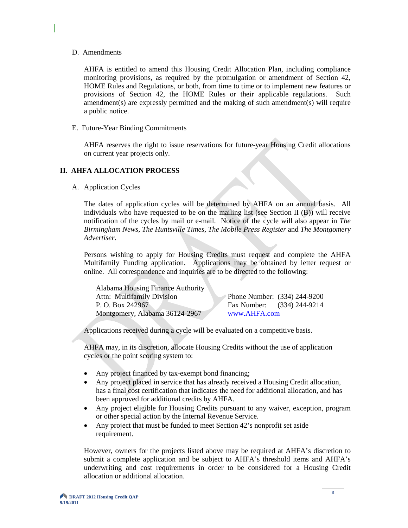#### D. Amendments

AHFA is entitled to amend this Housing Credit Allocation Plan, including compliance monitoring provisions, as required by the promulgation or amendment of Section 42, HOME Rules and Regulations, or both, from time to time or to implement new features or provisions of Section 42, the HOME Rules or their applicable regulations. Such amendment(s) are expressly permitted and the making of such amendment(s) will require a public notice.

E. Future-Year Binding Commitments

AHFA reserves the right to issue reservations for future-year Housing Credit allocations on current year projects only.

### **II. AHFA ALLOCATION PROCESS**

A. Application Cycles

The dates of application cycles will be determined by AHFA on an annual basis. All individuals who have requested to be on the mailing list (see Section II (B)) will receive notification of the cycles by mail or e-mail. Notice of the cycle will also appear in *The Birmingham News*, *The Huntsville Times*, *The Mobile Press Register* and *The Montgomery Advertiser*.

Persons wishing to apply for Housing Credits must request and complete the AHFA Multifamily Funding application. Applications may be obtained by letter request or online. All correspondence and inquiries are to be directed to the following:

| <b>Alabama Housing Finance Authority</b> |                              |
|------------------------------------------|------------------------------|
| <b>Attn: Multifamily Division</b>        | Phone Number: (334) 244-9200 |
| P. O. Box 242967                         | Fax Number: (334) 244-9214   |
| Montgomery, Alabama 36124-2967           | www.AHFA.com                 |

Applications received during a cycle will be evaluated on a competitive basis.

AHFA may, in its discretion, allocate Housing Credits without the use of application cycles or the point scoring system to:

- Any project financed by tax-exempt bond financing;
- Any project placed in service that has already received a Housing Credit allocation, has a final cost certification that indicates the need for additional allocation, and has been approved for additional credits by AHFA.
- Any project eligible for Housing Credits pursuant to any waiver, exception, program or other special action by the Internal Revenue Service.
- Any project that must be funded to meet Section 42's nonprofit set aside requirement.

However, owners for the projects listed above may be required at AHFA's discretion to submit a complete application and be subject to AHFA's threshold items and AHFA's underwriting and cost requirements in order to be considered for a Housing Credit allocation or additional allocation.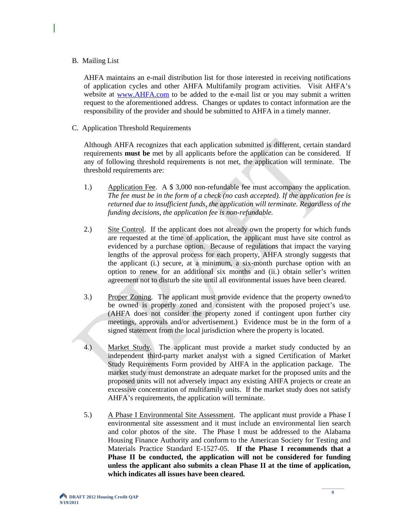#### B. Mailing List

AHFA maintains an e-mail distribution list for those interested in receiving notifications of application cycles and other AHFA Multifamily program activities. Visit AHFA's website at [www.AHFA.com](http://www.ahfa.com/) to be added to the e-mail list or you may submit a written request to the aforementioned address. Changes or updates to contact information are the responsibility of the provider and should be submitted to AHFA in a timely manner.

C. Application Threshold Requirements

Although AHFA recognizes that each application submitted is different, certain standard requirements **must be** met by all applicants before the application can be considered. If any of following threshold requirements is not met, the application will terminate. The threshold requirements are:

- 1.) Application Fee. A \$ 3,000 non-refundable fee must accompany the application. *The fee must be in the form of a check (no cash accepted). If the application fee is returned due to insufficient funds, the application will terminate. Regardless of the funding decisions, the application fee is non-refundable.*
- 2.) Site Control. If the applicant does not already own the property for which funds are requested at the time of application, the applicant must have site control as evidenced by a purchase option. Because of regulations that impact the varying lengths of the approval process for each property, AHFA strongly suggests that the applicant (i.) secure, at a minimum, a six-month purchase option with an option to renew for an additional six months and (ii.) obtain seller's written agreement not to disturb the site until all environmental issues have been cleared.
- 3.) Proper Zoning. The applicant must provide evidence that the property owned/to be owned is properly zoned and consistent with the proposed project's use. (AHFA does not consider the property zoned if contingent upon further city meetings, approvals and/or advertisement.) Evidence must be in the form of a signed statement from the local jurisdiction where the property is located.
- 4.) Market Study. The applicant must provide a market study conducted by an independent third-party market analyst with a signed Certification of Market Study Requirements Form provided by AHFA in the application package. The market study must demonstrate an adequate market for the proposed units and the proposed units will not adversely impact any existing AHFA projects or create an excessive concentration of multifamily units. If the market study does not satisfy AHFA's requirements, the application will terminate.
- 5.) A Phase I Environmental Site Assessment. The applicant must provide a Phase I environmental site assessment and it must include an environmental lien search and color photos of the site. The Phase I must be addressed to the Alabama Housing Finance Authority and conform to the American Society for Testing and Materials Practice Standard E-1527-05. **If the Phase I recommends that a Phase II be conducted, the application will not be considered for funding unless the applicant also submits a clean Phase II at the time of application, which indicates all issues have been cleared.**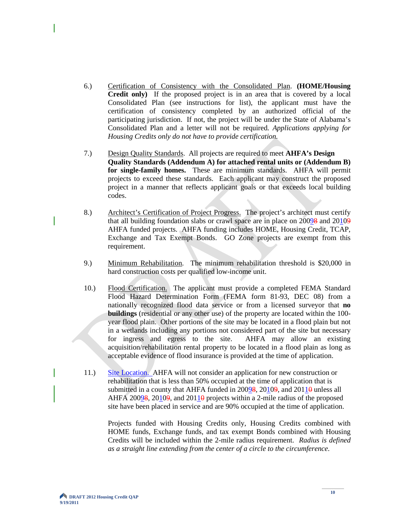- 6.) Certification of Consistency with the Consolidated Plan. **(HOME/Housing Credit only)** If the proposed project is in an area that is covered by a local Consolidated Plan (see instructions for list), the applicant must have the certification of consistency completed by an authorized official of the participating jurisdiction. If not, the project will be under the State of Alabama's Consolidated Plan and a letter will not be required. *Applications applying for Housing Credits only do not have to provide certification.*
- 7.) Design Quality Standards. All projects are required to meet **AHFA's Design Quality Standards (Addendum A) for attached rental units or (Addendum B) for single-family homes.** These are minimum standards. AHFA will permit projects to exceed these standards. Each applicant may construct the proposed project in a manner that reflects applicant goals or that exceeds local building codes.
- 8.) Architect's Certification of Project Progress. The project's architect must certify that all building foundation slabs or crawl space are in place on 20098 and 20109 AHFA funded projects. AHFA funding includes HOME, Housing Credit, TCAP, Exchange and Tax Exempt Bonds. GO Zone projects are exempt from this requirement.
- 9.) Minimum Rehabilitation. The minimum rehabilitation threshold is \$20,000 in hard construction costs per qualified low-income unit.
- 10.) Flood Certification. The applicant must provide a completed FEMA Standard Flood Hazard Determination Form (FEMA form 81-93, DEC 08) from a nationally recognized flood data service or from a licensed surveyor that **no buildings** (residential or any other use) of the property are located within the 100 year flood plain. Other portions of the site may be located in a flood plain but not in a wetlands including any portions not considered part of the site but necessary for ingress and egress to the site. AHFA may allow an existing acquisition/rehabilitation rental property to be located in a flood plain as long as acceptable evidence of flood insurance is provided at the time of application.
- 11.) Site Location. AHFA will not consider an application for new construction or rehabilitation that is less than 50% occupied at the time of application that is submitted in a county that AHFA funded in  $20098$ ,  $20109$ , and  $20110$  unless all AHFA 200 $9\frac{8}{9}$ , 2010 $9\frac{1}{9}$ , and 2011 $\frac{1}{9}$  projects within a 2-mile radius of the proposed site have been placed in service and are 90% occupied at the time of application.

Projects funded with Housing Credits only, Housing Credits combined with HOME funds, Exchange funds, and tax exempt Bonds combined with Housing Credits will be included within the 2-mile radius requirement. *Radius is defined as a straight line extending from the center of a circle to the circumference.*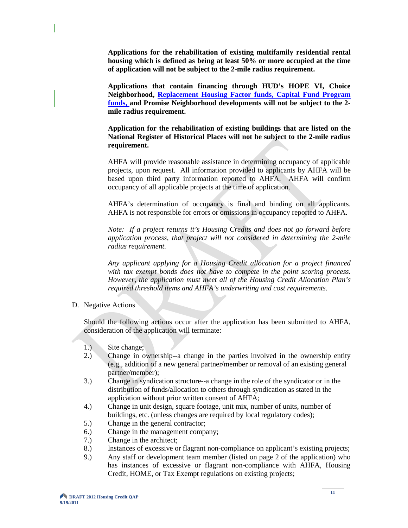**Applications for the rehabilitation of existing multifamily residential rental housing which is defined as being at least 50% or more occupied at the time of application will not be subject to the 2-mile radius requirement.**

**Applications that contain financing through HUD's HOPE VI, Choice Neighborhood, Replacement Housing Factor funds, Capital Fund Program funds, and Promise Neighborhood developments will not be subject to the 2 mile radius requirement.**

**Application for the rehabilitation of existing buildings that are listed on the National Register of Historical Places will not be subject to the 2-mile radius requirement.**

AHFA will provide reasonable assistance in determining occupancy of applicable projects, upon request. All information provided to applicants by AHFA will be based upon third party information reported to AHFA. AHFA will confirm occupancy of all applicable projects at the time of application.

AHFA's determination of occupancy is final and binding on all applicants. AHFA is not responsible for errors or omissions in occupancy reported to AHFA.

*Note: If a project returns it's Housing Credits and does not go forward before application process, that project will not considered in determining the 2-mile radius requirement.*

*Any applicant applying for a Housing Credit allocation for a project financed with tax exempt bonds does not have to compete in the point scoring process. However, the application must meet all of the Housing Credit Allocation Plan's required threshold items and AHFA's underwriting and cost requirements.*

D. Negative Actions

Should the following actions occur after the application has been submitted to AHFA, consideration of the application will terminate:

- 1.) Site change;
- 2.) Change in ownership--a change in the parties involved in the ownership entity (e.g., addition of a new general partner**/**member or removal of an existing general partner**/**member);
- 3.) Change in syndication structure--a change in the role of the syndicator or in the distribution of funds/allocation to others through syndication as stated in the application without prior written consent of AHFA;
- 4.) Change in unit design, square footage, unit mix, number of units, number of buildings, etc. (unless changes are required by local regulatory codes);
- 5.) Change in the general contractor;
- 6.) Change in the management company;
- 7.) Change in the architect;
- 8.) Instances of excessive or flagrant non-compliance on applicant's existing projects;
- 9.) Any staff or development team member (listed on page 2 of the application) who has instances of excessive or flagrant non-compliance with AHFA, Housing Credit, HOME, or Tax Exempt regulations on existing projects;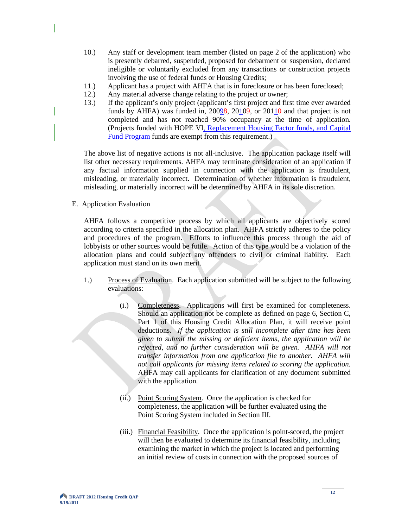- 10.) Any staff or development team member (listed on page 2 of the application) who is presently debarred, suspended, proposed for debarment or suspension, declared ineligible or voluntarily excluded from any transactions or construction projects involving the use of federal funds or Housing Credits;
- 11.) Applicant has a project with AHFA that is in foreclosure or has been foreclosed;
- 
- 12.) Any material adverse change relating to the project or owner;<br>13.) If the applicant's only project (applicant's first project and fir 13.) If the applicant's only project (applicant's first project and first time ever awarded funds by AHFA) was funded in,  $20098$ ,  $20109$ , or  $20110$  and that project is not completed and has not reached 90% occupancy at the time of application. (Projects funded with HOPE VI, Replacement Housing Factor funds, and Capital Fund Program funds are exempt from this requirement.)

The above list of negative actions is not all-inclusive. The application package itself will list other necessary requirements. AHFA may terminate consideration of an application if any factual information supplied in connection with the application is fraudulent, misleading, or materially incorrect. Determination of whether information is fraudulent, misleading, or materially incorrect will be determined by AHFA in its sole discretion.

E. Application Evaluation

AHFA follows a competitive process by which all applicants are objectively scored according to criteria specified in the allocation plan. AHFA strictly adheres to the policy and procedures of the program. Efforts to influence this process through the aid of lobbyists or other sources would be futile. Action of this type would be a violation of the allocation plans and could subject any offenders to civil or criminal liability. Each application must stand on its own merit.

- 1.) Process of Evaluation. Each application submitted will be subject to the following evaluations:
	- (i.) Completeness. Applications will first be examined for completeness. Should an application not be complete as defined on page 6, Section C, Part 1 of this Housing Credit Allocation Plan, it will receive point deductions. *If the application is still incomplete after time has been given to submit the missing or deficient items, the application will be rejected, and no further consideration will be given. AHFA will not transfer information from one application file to another. AHFA will not call applicants for missing items related to scoring the application.* AHFA may call applicants for clarification of any document submitted with the application.
	- (ii.) Point Scoring System. Once the application is checked for completeness, the application will be further evaluated using the Point Scoring System included in Section III.
	- (iii.) Financial Feasibility. Once the application is point-scored, the project will then be evaluated to determine its financial feasibility, including examining the market in which the project is located and performing an initial review of costs in connection with the proposed sources of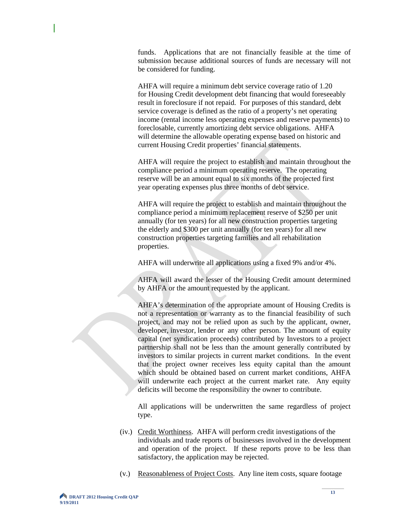funds. Applications that are not financially feasible at the time of submission because additional sources of funds are necessary will not be considered for funding.

AHFA will require a minimum debt service coverage ratio of 1.20 for Housing Credit development debt financing that would foreseeably result in foreclosure if not repaid. For purposes of this standard, debt service coverage is defined as the ratio of a property's net operating income (rental income less operating expenses and reserve payments) to foreclosable, currently amortizing debt service obligations. AHFA will determine the allowable operating expense based on historic and current Housing Credit properties' financial statements.

AHFA will require the project to establish and maintain throughout the compliance period a minimum operating reserve. The operating reserve will be an amount equal to six months of the projected first year operating expenses plus three months of debt service.

AHFA will require the project to establish and maintain throughout the compliance period a minimum replacement reserve of \$250 per unit annually (for ten years) for all new construction properties targeting the elderly and \$300 per unit annually (for ten years) for all new construction properties targeting families and all rehabilitation properties.

AHFA will underwrite all applications using a fixed 9% and/or 4%.

AHFA will award the lesser of the Housing Credit amount determined by AHFA or the amount requested by the applicant.

AHFA's determination of the appropriate amount of Housing Credits is not a representation or warranty as to the financial feasibility of such project, and may not be relied upon as such by the applicant, owner, developer, investor, lender or any other person. The amount of equity capital (net syndication proceeds) contributed by Investors to a project partnership shall not be less than the amount generally contributed by investors to similar projects in current market conditions. In the event that the project owner receives less equity capital than the amount which should be obtained based on current market conditions, AHFA will underwrite each project at the current market rate. Any equity deficits will become the responsibility the owner to contribute.

All applications will be underwritten the same regardless of project type.

- (iv.) Credit Worthiness. AHFA will perform credit investigations of the individuals and trade reports of businesses involved in the development and operation of the project. If these reports prove to be less than satisfactory, the application may be rejected.
- (v.) Reasonableness of Project Costs. Any line item costs, square footage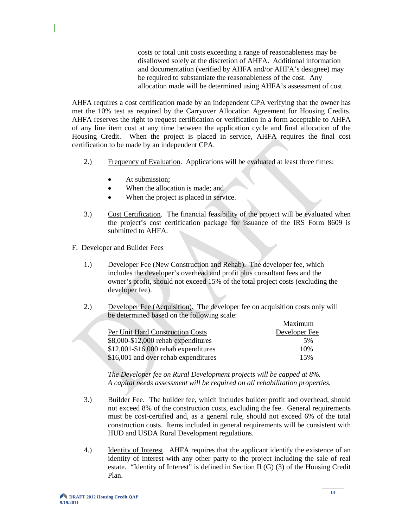costs or total unit costs exceeding a range of reasonableness may be disallowed solely at the discretion of AHFA. Additional information and documentation (verified by AHFA and/or AHFA's designee) may be required to substantiate the reasonableness of the cost. Any allocation made will be determined using AHFA's assessment of cost.

AHFA requires a cost certification made by an independent CPA verifying that the owner has met the 10% test as required by the Carryover Allocation Agreement for Housing Credits. AHFA reserves the right to request certification or verification in a form acceptable to AHFA of any line item cost at any time between the application cycle and final allocation of the Housing Credit. When the project is placed in service, AHFA requires the final cost certification to be made by an independent CPA.

- 2.) Frequency of Evaluation. Applications will be evaluated at least three times:
	- At submission:
	- When the allocation is made: and
	- When the project is placed in service.
- 3.) Cost Certification. The financial feasibility of the project will be evaluated when the project's cost certification package for issuance of the IRS Form 8609 is submitted to AHFA.
- F. Developer and Builder Fees
	- 1.) Developer Fee (New Construction and Rehab). The developer fee, which includes the developer's overhead and profit plus consultant fees and the owner's profit, should not exceed 15% of the total project costs (excluding the developer fee).
	- 2.) Developer Fee (Acquisition). The developer fee on acquisition costs only will be determined based on the following scale:

|                                      | Maximum       |
|--------------------------------------|---------------|
| Per Unit Hard Construction Costs     | Developer Fee |
| \$8,000-\$12,000 rehab expenditures  | 5%            |
| \$12,001-\$16,000 rehab expenditures | 10%           |
| \$16,001 and over rehab expenditures | 15%           |

*The Developer fee on Rural Development projects will be capped at 8%. A capital needs assessment will be required on all rehabilitation properties.*

- 3.) Builder Fee. The builder fee, which includes builder profit and overhead, should not exceed 8% of the construction costs, excluding the fee. General requirements must be cost-certified and, as a general rule, should not exceed 6% of the total construction costs. Items included in general requirements will be consistent with HUD and USDA Rural Development regulations.
- 4.) Identity of Interest. AHFA requires that the applicant identify the existence of an identity of interest with any other party to the project including the sale of real estate. "Identity of Interest" is defined in Section II (G) (3) of the Housing Credit Plan.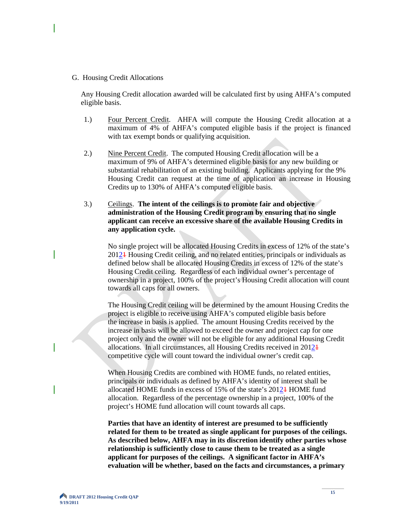G. Housing Credit Allocations

Any Housing Credit allocation awarded will be calculated first by using AHFA's computed eligible basis.

- 1.) Four Percent Credit. AHFA will compute the Housing Credit allocation at a maximum of 4% of AHFA's computed eligible basis if the project is financed with tax exempt bonds or qualifying acquisition.
- 2.) Nine Percent Credit. The computed Housing Credit allocation will be a maximum of 9% of AHFA's determined eligible basis for any new building or substantial rehabilitation of an existing building. Applicants applying for the 9% Housing Credit can request at the time of application an increase in Housing Credits up to 130% of AHFA's computed eligible basis.
- 3.) Ceilings. **The intent of the ceilings is to promote fair and objective administration of the Housing Credit program by ensuring that no single applicant can receive an excessive share of the available Housing Credits in any application cycle.**

No single project will be allocated Housing Credits in excess of 12% of the state's 20121 Housing Credit ceiling, and no related entities, principals or individuals as defined below shall be allocated Housing Credits in excess of 12% of the state's Housing Credit ceiling. Regardless of each individual owner's percentage of ownership in a project, 100% of the project's Housing Credit allocation will count towards all caps for all owners.

The Housing Credit ceiling will be determined by the amount Housing Credits the project is eligible to receive using AHFA's computed eligible basis before the increase in basis is applied. The amount Housing Credits received by the increase in basis will be allowed to exceed the owner and project cap for one project only and the owner will not be eligible for any additional Housing Credit allocations. In all circumstances, all Housing Credits received in 20121 competitive cycle will count toward the individual owner's credit cap.

 When Housing Credits are combined with HOME funds, no related entities, principals or individuals as defined by AHFA's identity of interest shall be allocated HOME funds in excess of 15% of the state's 20121 HOME fund allocation. Regardless of the percentage ownership in a project, 100% of the project's HOME fund allocation will count towards all caps.

**Parties that have an identity of interest are presumed to be sufficiently related for them to be treated as single applicant for purposes of the ceilings. As described below, AHFA may in its discretion identify other parties whose relationship is sufficiently close to cause them to be treated as a single applicant for purposes of the ceilings. A significant factor in AHFA's evaluation will be whether, based on the facts and circumstances, a primary**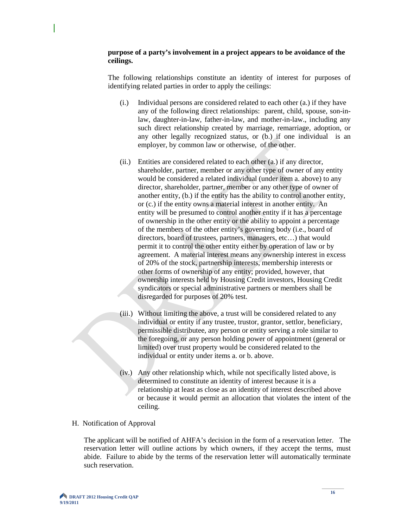#### **purpose of a party's involvement in a project appears to be avoidance of the ceilings.**

The following relationships constitute an identity of interest for purposes of identifying related parties in order to apply the ceilings:

- (i.) Individual persons are considered related to each other (a.) if they have any of the following direct relationships: parent, child, spouse, son-inlaw, daughter-in-law, father-in-law, and mother-in-law., including any such direct relationship created by marriage, remarriage, adoption, or any other legally recognized status, or (b.) if one individual is an employer, by common law or otherwise, of the other.
- (ii.) Entities are considered related to each other (a.) if any director, shareholder, partner, member or any other type of owner of any entity would be considered a related individual (under item a. above) to any director, shareholder, partner, member or any other type of owner of another entity, (b.) if the entity has the ability to control another entity, or (c.) if the entity owns a material interest in another entity. An entity will be presumed to control another entity if it has a percentage of ownership in the other entity or the ability to appoint a percentage of the members of the other entity's governing body (i.e., board of directors, board of trustees, partners, managers, etc…) that would permit it to control the other entity either by operation of law or by agreement. A material interest means any ownership interest in excess of 20% of the stock, partnership interests, membership interests or other forms of ownership of any entity; provided, however, that ownership interests held by Housing Credit investors, Housing Credit syndicators or special administrative partners or members shall be disregarded for purposes of 20% test.
- (iii.) Without limiting the above, a trust will be considered related to any individual or entity if any trustee, trustor, grantor, settlor, beneficiary, permissible distributee, any person or entity serving a role similar to the foregoing, or any person holding power of appointment (general or limited) over trust property would be considered related to the individual or entity under items a. or b. above.
- (iv.) Any other relationship which, while not specifically listed above, is determined to constitute an identity of interest because it is a relationship at least as close as an identity of interest described above or because it would permit an allocation that violates the intent of the ceiling.

#### H. Notification of Approval

The applicant will be notified of AHFA's decision in the form of a reservation letter. The reservation letter will outline actions by which owners, if they accept the terms, must abide. Failure to abide by the terms of the reservation letter will automatically terminate such reservation.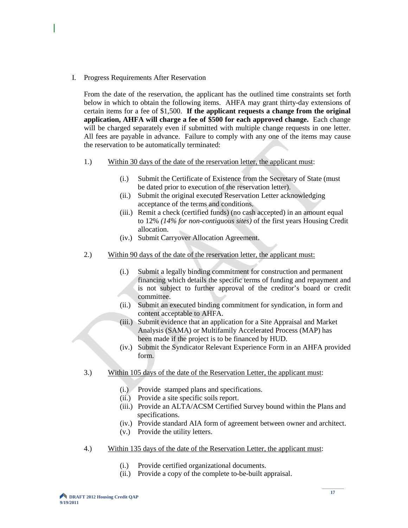I. Progress Requirements After Reservation

From the date of the reservation, the applicant has the outlined time constraints set forth below in which to obtain the following items. AHFA may grant thirty-day extensions of certain items for a fee of \$1,500. **If the applicant requests a change from the original application, AHFA will charge a fee of \$500 for each approved change.** Each change will be charged separately even if submitted with multiple change requests in one letter. All fees are payable in advance. Failure to comply with any one of the items may cause the reservation to be automatically terminated:

- 1.) Within 30 days of the date of the reservation letter, the applicant must:
	- (i.) Submit the Certificate of Existence from the Secretary of State (must be dated prior to execution of the reservation letter).
	- (ii.) Submit the original executed Reservation Letter acknowledging acceptance of the terms and conditions.
	- (iii.) Remit a check (certified funds) (no cash accepted) in an amount equal to 12% *(14% for non-contiguous sites)* of the first years Housing Credit allocation.
	- (iv.) Submit Carryover Allocation Agreement.
- 2.) Within 90 days of the date of the reservation letter, the applicant must:
	- (i.) Submit a legally binding commitment for construction and permanent financing which details the specific terms of funding and repayment and is not subject to further approval of the creditor's board or credit committee.
	- (ii.) Submit an executed binding commitment for syndication, in form and content acceptable to AHFA.
	- (iii.) Submit evidence that an application for a Site Appraisal and Market Analysis (SAMA) or Multifamily Accelerated Process (MAP) has been made if the project is to be financed by HUD.
	- (iv.) Submit the Syndicator Relevant Experience Form in an AHFA provided form.
- 3.) Within 105 days of the date of the Reservation Letter, the applicant must:
	- (i.) Provide stamped plans and specifications.
	- (ii.) Provide a site specific soils report.
	- (iii.) Provide an ALTA/ACSM Certified Survey bound within the Plans and specifications.
	- (iv.) Provide standard AIA form of agreement between owner and architect.
	- (v.) Provide the utility letters.
- 4.) Within 135 days of the date of the Reservation Letter, the applicant must:
	- (i.) Provide certified organizational documents.
	- (ii.) Provide a copy of the complete to-be-built appraisal.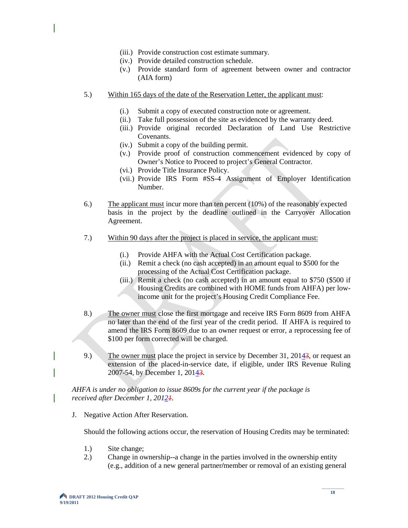- (iii.) Provide construction cost estimate summary.
- (iv.) Provide detailed construction schedule.
- (v.) Provide standard form of agreement between owner and contractor (AIA form)
- 5.) Within 165 days of the date of the Reservation Letter, the applicant must:
	- (i.) Submit a copy of executed construction note or agreement.
	- (ii.) Take full possession of the site as evidenced by the warranty deed.
	- (iii.) Provide original recorded Declaration of Land Use Restrictive Covenants.
	- (iv.) Submit a copy of the building permit.
	- (v.) Provide proof of construction commencement evidenced by copy of Owner's Notice to Proceed to project's General Contractor.
	- (vi.) Provide Title Insurance Policy.
	- (vii.) Provide IRS Form #SS-4 Assignment of Employer Identification Number.
- 6.) The applicant must incur more than ten percent (10%) of the reasonably expected basis in the project by the deadline outlined in the Carryover Allocation Agreement.
- 7.) Within 90 days after the project is placed in service, the applicant must:
	- (i.) Provide AHFA with the Actual Cost Certification package.
	- (ii.) Remit a check (no cash accepted) in an amount equal to \$500 for the processing of the Actual Cost Certification package.
	- (iii.) Remit a check (no cash accepted) in an amount equal to \$750 (\$500 if Housing Credits are combined with HOME funds from AHFA) per lowincome unit for the project's Housing Credit Compliance Fee.
- 8.) The owner must close the first mortgage and receive IRS Form 8609 from AHFA no later than the end of the first year of the credit period. If AHFA is required to amend the IRS Form 8609 due to an owner request or error, a reprocessing fee of \$100 per form corrected will be charged.
- 9.) The owner must place the project in service by December 31, 20143, or request an extension of the placed-in-service date, if eligible, under IRS Revenue Ruling 2007-54, by December 1, 20143.

*AHFA is under no obligation to issue 8609s for the current year if the package is received after December 1, 20121.*

J. Negative Action After Reservation.

Should the following actions occur, the reservation of Housing Credits may be terminated:

- 1.) Site change;
- 2.) Change in ownership--a change in the parties involved in the ownership entity (e.g., addition of a new general partner**/**member or removal of an existing general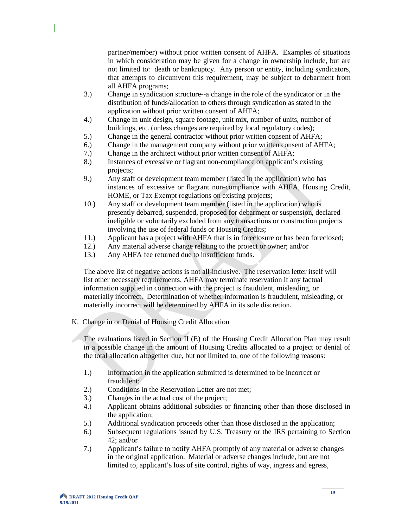partner**/**member) without prior written consent of AHFA. Examples of situations in which consideration may be given for a change in ownership include, but are not limited to: death or bankruptcy. Any person or entity, including syndicators, that attempts to circumvent this requirement, may be subject to debarment from all AHFA programs;

- 3.) Change in syndication structure--a change in the role of the syndicator or in the distribution of funds/allocation to others through syndication as stated in the application without prior written consent of AHFA;
- 4.) Change in unit design, square footage, unit mix, number of units, number of buildings, etc. (unless changes are required by local regulatory codes);
- 5.) Change in the general contractor without prior written consent of AHFA;
- 6.) Change in the management company without prior written consent of AHFA;
- 7.) Change in the architect without prior written consent of AHFA;
- 8.) Instances of excessive or flagrant non-compliance on applicant's existing projects;
- 9.) Any staff or development team member (listed in the application) who has instances of excessive or flagrant non-compliance with AHFA, Housing Credit, HOME, or Tax Exempt regulations on existing projects;
- 10.) Any staff or development team member (listed in the application) who is presently debarred, suspended, proposed for debarment or suspension, declared ineligible or voluntarily excluded from any transactions or construction projects involving the use of federal funds or Housing Credits;
- 11.) Applicant has a project with AHFA that is in foreclosure or has been foreclosed;
- 12.) Any material adverse change relating to the project or owner; and/or
- 13.) Any AHFA fee returned due to insufficient funds.

The above list of negative actions is not all-inclusive. The reservation letter itself will list other necessary requirements. AHFA may terminate reservation if any factual information supplied in connection with the project is fraudulent, misleading, or materially incorrect. Determination of whether information is fraudulent, misleading, or materially incorrect will be determined by AHFA in its sole discretion.

K. Change in or Denial of Housing Credit Allocation

The evaluations listed in Section II (E) of the Housing Credit Allocation Plan may result in a possible change in the amount of Housing Credits allocated to a project or denial of the total allocation altogether due, but not limited to, one of the following reasons:

- 1.) Information in the application submitted is determined to be incorrect or fraudulent;
- 2.) Conditions in the Reservation Letter are not met;
- 3.) Changes in the actual cost of the project;
- 4.) Applicant obtains additional subsidies or financing other than those disclosed in the application;
- 5.) Additional syndication proceeds other than those disclosed in the application;
- 6.) Subsequent regulations issued by U.S. Treasury or the IRS pertaining to Section 42; and/or
- 7.) Applicant's failure to notify AHFA promptly of any material or adverse changes in the original application. Material or adverse changes include, but are not limited to, applicant's loss of site control, rights of way, ingress and egress,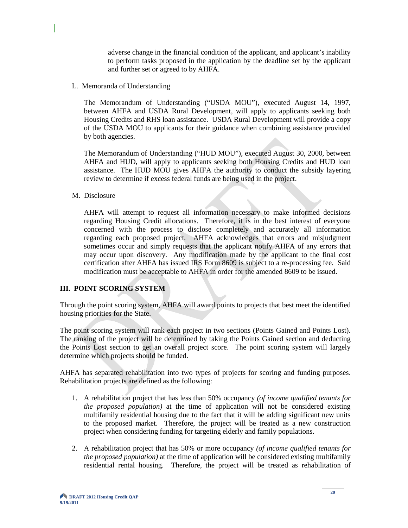adverse change in the financial condition of the applicant, and applicant's inability to perform tasks proposed in the application by the deadline set by the applicant and further set or agreed to by AHFA.

L. Memoranda of Understanding

The Memorandum of Understanding ("USDA MOU"), executed August 14, 1997, between AHFA and USDA Rural Development, will apply to applicants seeking both Housing Credits and RHS loan assistance. USDA Rural Development will provide a copy of the USDA MOU to applicants for their guidance when combining assistance provided by both agencies.

The Memorandum of Understanding ("HUD MOU"), executed August 30, 2000, between AHFA and HUD, will apply to applicants seeking both Housing Credits and HUD loan assistance. The HUD MOU gives AHFA the authority to conduct the subsidy layering review to determine if excess federal funds are being used in the project.

M. Disclosure

AHFA will attempt to request all information necessary to make informed decisions regarding Housing Credit allocations. Therefore, it is in the best interest of everyone concerned with the process to disclose completely and accurately all information regarding each proposed project. AHFA acknowledges that errors and misjudgment sometimes occur and simply requests that the applicant notify AHFA of any errors that may occur upon discovery. Any modification made by the applicant to the final cost certification after AHFA has issued IRS Form 8609 is subject to a re-processing fee. Said modification must be acceptable to AHFA in order for the amended 8609 to be issued.

# **III. POINT SCORING SYSTEM**

Through the point scoring system, AHFA will award points to projects that best meet the identified housing priorities for the State.

The point scoring system will rank each project in two sections (Points Gained and Points Lost). The ranking of the project will be determined by taking the Points Gained section and deducting the Points Lost section to get an overall project score. The point scoring system will largely determine which projects should be funded.

AHFA has separated rehabilitation into two types of projects for scoring and funding purposes. Rehabilitation projects are defined as the following:

- 1. A rehabilitation project that has less than 50% occupancy *(of income qualified tenants for the proposed population)* at the time of application will not be considered existing multifamily residential housing due to the fact that it will be adding significant new units to the proposed market. Therefore, the project will be treated as a new construction project when considering funding for targeting elderly and family populations.
- 2. A rehabilitation project that has 50% or more occupancy *(of income qualified tenants for the proposed population)* at the time of application will be considered existing multifamily residential rental housing. Therefore, the project will be treated as rehabilitation of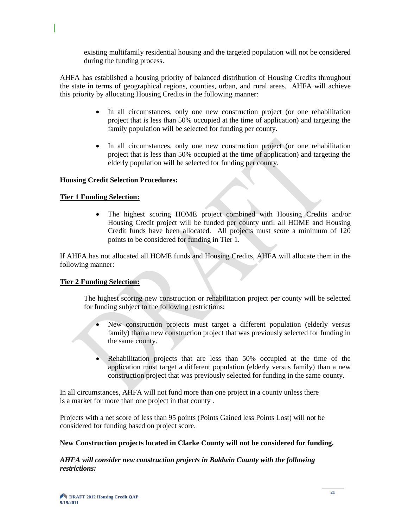existing multifamily residential housing and the targeted population will not be considered during the funding process.

AHFA has established a housing priority of balanced distribution of Housing Credits throughout the state in terms of geographical regions, counties, urban, and rural areas. AHFA will achieve this priority by allocating Housing Credits in the following manner:

- In all circumstances, only one new construction project (or one rehabilitation project that is less than 50% occupied at the time of application) and targeting the family population will be selected for funding per county.
- In all circumstances, only one new construction project (or one rehabilitation project that is less than 50% occupied at the time of application) and targeting the elderly population will be selected for funding per county.

#### **Housing Credit Selection Procedures:**

#### **Tier 1 Funding Selection:**

• The highest scoring HOME project combined with Housing Credits and/or Housing Credit project will be funded per county until all HOME and Housing Credit funds have been allocated. All projects must score a minimum of 120 points to be considered for funding in Tier 1.

If AHFA has not allocated all HOME funds and Housing Credits, AHFA will allocate them in the following manner:

#### **Tier 2 Funding Selection:**

The highest scoring new construction or rehabilitation project per county will be selected for funding subject to the following restrictions:

- New construction projects must target a different population (elderly versus family) than a new construction project that was previously selected for funding in the same county.
- Rehabilitation projects that are less than 50% occupied at the time of the application must target a different population (elderly versus family) than a new construction project that was previously selected for funding in the same county.

In all circumstances, AHFA will not fund more than one project in a county unless there is a market for more than one project in that county .

Projects with a net score of less than 95 points (Points Gained less Points Lost) will not be considered for funding based on project score.

#### **New Construction projects located in Clarke County will not be considered for funding.**

*AHFA will consider new construction projects in Baldwin County with the following restrictions:*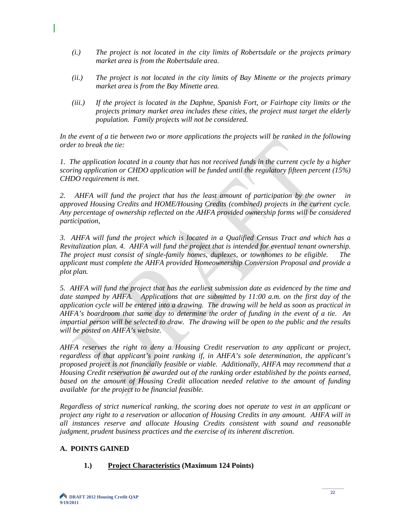- *(i.) The project is not located in the city limits of Robertsdale or the projects primary market area is from the Robertsdale area.*
- *(ii.) The project is not located in the city limits of Bay Minette or the projects primary market area is from the Bay Minette area.*
- *(iii.) If the project is located in the Daphne, Spanish Fort, or Fairhope city limits or the projects primary market area includes these cities, the project must target the elderly population. Family projects will not be considered.*

*In the event of a tie between two or more applications the projects will be ranked in the following order to break the tie:*

*1. The application located in a county that has not received funds in the current cycle by a higher scoring application or CHDO application will be funded until the regulatory fifteen percent (15%) CHDO requirement is met.* 

*2. AHFA will fund the project that has the least amount of participation by the owner in approved Housing Credits and HOME/Housing Credits (combined) projects in the current cycle. Any percentage of ownership reflected on the AHFA provided ownership forms will be considered participation,* 

*3. AHFA will fund the project which is located in a Qualified Census Tract and which has a Revitalization plan. 4. AHFA will fund the project that is intended for eventual tenant ownership. The project must consist of single-family homes, duplexes, or townhomes to be eligible. The applicant must complete the AHFA provided Homeownership Conversion Proposal and provide a plot plan.* 

*5. AHFA will fund the project that has the earliest submission date as evidenced by the time and date stamped by AHFA. Applications that are submitted by 11:00 a.m. on the first day of the application cycle will be entered into a drawing. The drawing will be held as soon as practical in AHFA's boardroom that same day to determine the order of funding in the event of a tie. An impartial person will be selected to draw. The drawing will be open to the public and the results will be posted on AHFA's website.* 

*AHFA reserves the right to deny a Housing Credit reservation to any applicant or project, regardless of that applicant's point ranking if, in AHFA's sole determination, the applicant's proposed project is not financially feasible or viable. Additionally, AHFA may recommend that a Housing Credit reservation be awarded out of the ranking order established by the points earned,*  based on the amount of Housing Credit allocation needed relative to the amount of funding *available for the project to be financial feasible.*

*Regardless of strict numerical ranking, the scoring does not operate to vest in an applicant or project any right to a reservation or allocation of Housing Credits in any amount. AHFA will in all instances reserve and allocate Housing Credits consistent with sound and reasonable judgment, prudent business practices and the exercise of its inherent discretion.*

# **A. POINTS GAINED**

# **1.) Project Characteristics (Maximum 124 Points)**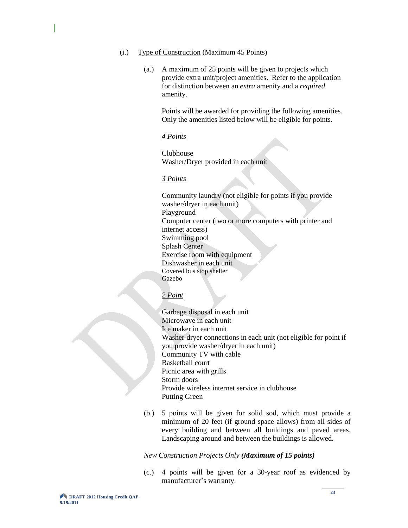- (i.) Type of Construction (Maximum 45 Points)
	- (a.) A maximum of 25 points will be given to projects which provide extra unit/project amenities. Refer to the application for distinction between an *extra* amenity and a *required*  amenity.

Points will be awarded for providing the following amenities. Only the amenities listed below will be eligible for points.

#### *4 Points*

Clubhouse Washer/Dryer provided in each unit

#### *3 Points*

Community laundry (not eligible for points if you provide washer/dryer in each unit) Playground Computer center (two or more computers with printer and internet access) Swimming pool Splash Center Exercise room with equipment Dishwasher in each unit Covered bus stop shelter Gazebo

## *2 Point*

Garbage disposal in each unit Microwave in each unit Ice maker in each unit Washer-dryer connections in each unit (not eligible for point if you provide washer/dryer in each unit) Community TV with cable Basketball court Picnic area with grills Storm doors Provide wireless internet service in clubhouse Putting Green

(b.) 5 points will be given for solid sod, which must provide a minimum of 20 feet (if ground space allows) from all sides of every building and between all buildings and paved areas. Landscaping around and between the buildings is allowed.

#### *New Construction Projects Only (Maximum of 15 points)*

(c.) 4 points will be given for a 30-year roof as evidenced by manufacturer's warranty.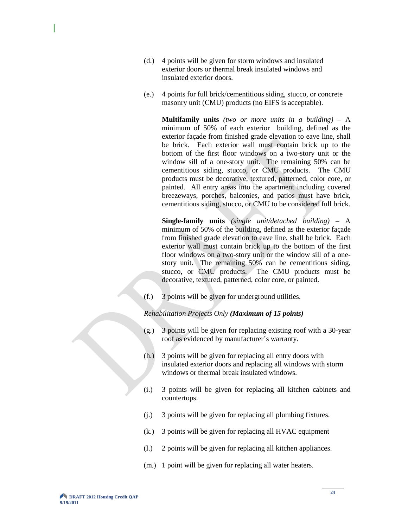- (d.) 4 points will be given for storm windows and insulated exterior doors or thermal break insulated windows and insulated exterior doors.
- (e.) 4 points for full brick/cementitious siding, stucco, or concrete masonry unit (CMU) products (no EIFS is acceptable).

**Multifamily units** *(two or more units in a building)* – A minimum of 50% of each exterior building, defined as the exterior façade from finished grade elevation to eave line, shall be brick. Each exterior wall must contain brick up to the bottom of the first floor windows on a two-story unit or the window sill of a one-story unit. The remaining 50% can be cementitious siding, stucco, or CMU products. The CMU products must be decorative, textured, patterned, color core, or painted. All entry areas into the apartment including covered breezeways, porches, balconies, and patios must have brick, cementitious siding, stucco, or CMU to be considered full brick.

**Single-family units** *(single unit/detached building)* – A minimum of 50% of the building, defined as the exterior façade from finished grade elevation to eave line, shall be brick. Each exterior wall must contain brick up to the bottom of the first floor windows on a two-story unit or the window sill of a onestory unit. The remaining 50% can be cementitious siding, stucco, or CMU products. The CMU products must be decorative, textured, patterned, color core, or painted.

(f.) 3 points will be given for underground utilities.

*Rehabilitation Projects Only (Maximum of 15 points)*

- (g.) 3 points will be given for replacing existing roof with a 30-year roof as evidenced by manufacturer's warranty.
- (h.) 3 points will be given for replacing all entry doors with insulated exterior doors and replacing all windows with storm windows or thermal break insulated windows.
- (i.) 3 points will be given for replacing all kitchen cabinets and countertops.
- (j.) 3 points will be given for replacing all plumbing fixtures.
- (k.) 3 points will be given for replacing all HVAC equipment
- (l.) 2 points will be given for replacing all kitchen appliances.
- (m.) 1 point will be given for replacing all water heaters.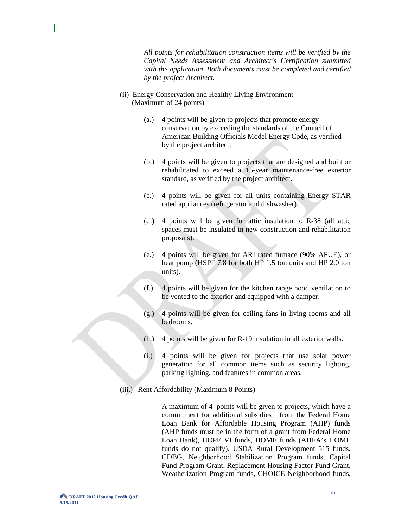*All points for rehabilitation construction items will be verified by the Capital Needs Assessment and Architect's Certification submitted with the application. Both documents must be completed and certified by the project Architect.*

- (ii) Energy Conservation and Healthy Living Environment (Maximum of 24 points)
	- (a.) 4 points will be given to projects that promote energy conservation by exceeding the standards of the Council of American Building Officials Model Energy Code, as verified by the project architect.
	- (b.) 4 points will be given to projects that are designed and built or rehabilitated to exceed a 15-year maintenance-free exterior standard, as verified by the project architect.
	- (c.) 4 points will be given for all units containing Energy STAR rated appliances (refrigerator and dishwasher).
	- (d.) 4 points will be given for attic insulation to R-38 (all attic spaces must be insulated in new construction and rehabilitation proposals).
	- (e.) 4 points will be given for ARI rated furnace (90% AFUE), or heat pump (HSPF 7.8 for both HP 1.5 ton units and HP 2.0 ton units).
	- (f.) 4 points will be given for the kitchen range hood ventilation to be vented to the exterior and equipped with a damper.
	- (g.) 4 points will be given for ceiling fans in living rooms and all bedrooms.
	- (h.) 4 points will be given for R-19 insulation in all exterior walls.
	- (i.) 4 points will be given for projects that use solar power generation for all common items such as security lighting, parking lighting, and features in common areas.
- (iii.) Rent Affordability (Maximum 8 Points)

A maximum of 4 points will be given to projects, which have a commitment for additional subsidies from the Federal Home Loan Bank for Affordable Housing Program (AHP) funds (AHP funds must be in the form of a grant from Federal Home Loan Bank), HOPE VI funds, HOME funds (AHFA's HOME funds do not qualify), USDA Rural Development 515 funds, CDBG, Neighborhood Stabilization Program funds, Capital Fund Program Grant, Replacement Housing Factor Fund Grant, Weatherization Program funds, CHOICE Neighborhood funds,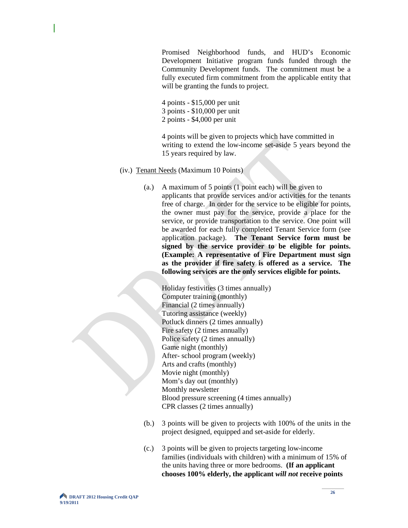Promised Neighborhood funds, and HUD's Economic Development Initiative program funds funded through the Community Development funds. The commitment must be a fully executed firm commitment from the applicable entity that will be granting the funds to project.

- 4 points \$15,000 per unit
- 3 points \$10,000 per unit
- 2 points \$4,000 per unit

 4 points will be given to projects which have committed in writing to extend the low-income set-aside 5 years beyond the 15 years required by law.

- (iv.) Tenant Needs (Maximum 10 Points)
	- (a.) A maximum of 5 points (1 point each) will be given to applicants that provide services and/or activities for the tenants free of charge. In order for the service to be eligible for points, the owner must pay for the service, provide a place for the service, or provide transportation to the service. One point will be awarded for each fully completed Tenant Service form (see application package). **The Tenant Service form must be signed by the service provider to be eligible for points. (Example: A representative of Fire Department must sign as the provider if fire safety is offered as a service. The following services are the only services eligible for points.**

Holiday festivities (3 times annually) Computer training (monthly) Financial (2 times annually) Tutoring assistance (weekly) Potluck dinners (2 times annually) Fire safety (2 times annually) Police safety (2 times annually) Game night (monthly) After- school program (weekly) Arts and crafts (monthly) Movie night (monthly) Mom's day out (monthly) Monthly newsletter Blood pressure screening (4 times annually) CPR classes (2 times annually)

- (b.) 3 points will be given to projects with 100% of the units in the project designed, equipped and set-aside for elderly.
- (c.) 3 points will be given to projects targeting low-income families (individuals with children) with a minimum of 15% of the units having three or more bedrooms. **(If an applicant chooses 100% elderly, the applicant** *will not* **receive points**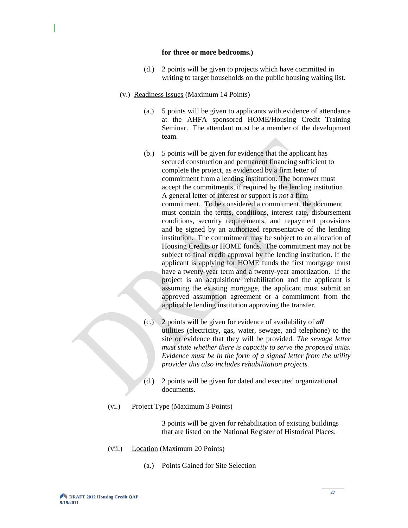#### **for three or more bedrooms.)**

- (d.) 2 points will be given to projects which have committed in writing to target households on the public housing waiting list.
- (v.) Readiness Issues (Maximum 14 Points)
	- (a.) 5 points will be given to applicants with evidence of attendance at the AHFA sponsored HOME/Housing Credit Training Seminar. The attendant must be a member of the development team.
	- (b.) 5 points will be given for evidence that the applicant has secured construction and permanent financing sufficient to complete the project, as evidenced by a firm letter of commitment from a lending institution. The borrower must accept the commitments, if required by the lending institution. A general letter of interest or support is *not* a firm commitment. To be considered a commitment, the document must contain the terms, conditions, interest rate, disbursement conditions, security requirements, and repayment provisions and be signed by an authorized representative of the lending institution. The commitment may be subject to an allocation of Housing Credits or HOME funds. The commitment may not be subject to final credit approval by the lending institution. If the applicant is applying for HOME funds the first mortgage must have a twenty-year term and a twenty-year amortization. If the project is an acquisition/ rehabilitation and the applicant is assuming the existing mortgage, the applicant must submit an approved assumption agreement or a commitment from the applicable lending institution approving the transfer.
	- (c.) 2 points will be given for evidence of availability of *all* utilities (electricity, gas, water, sewage, and telephone) to the site or evidence that they will be provided. *The sewage letter must state whether there is capacity to serve the proposed units. Evidence must be in the form of a signed letter from the utility provider this also includes rehabilitation projects.*
	- (d.) 2 points will be given for dated and executed organizational documents.
- (vi.) Project Type (Maximum 3 Points)

3 points will be given for rehabilitation of existing buildings that are listed on the National Register of Historical Places.

- (vii.) Location (Maximum 20 Points)
	- (a.) Points Gained for Site Selection

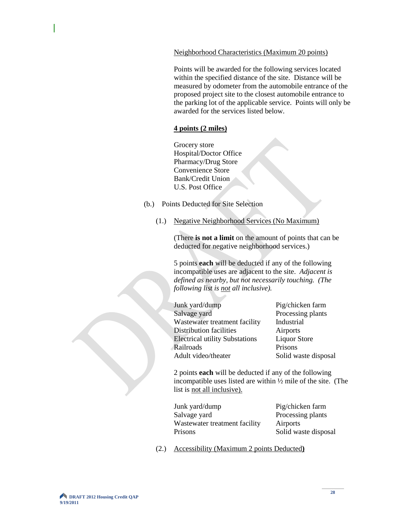#### Neighborhood Characteristics (Maximum 20 points)

Points will be awarded for the following services located within the specified distance of the site. Distance will be measured by odometer from the automobile entrance of the proposed project site to the closest automobile entrance to the parking lot of the applicable service. Points will only be awarded for the services listed below.

#### **4 points (2 miles)**

Grocery store Hospital/Doctor Office Pharmacy/Drug Store Convenience Store Bank/Credit Union U.S. Post Office

- (b.) Points Deducted for Site Selection
	- (1.) Negative Neighborhood Services (No Maximum)

(There **is not a limit** on the amount of points that can be deducted for negative neighborhood services.)

5 points **each** will be deducted if any of the following incompatible uses are adjacent to the site. *Adjacent is defined as nearby, but not necessarily touching. (The following list is not all inclusive).*

| Pig/chicken farm     |
|----------------------|
| Processing plants    |
| Industrial           |
| Airports             |
| <b>Liquor Store</b>  |
| Prisons              |
| Solid waste disposal |
|                      |

2 points **each** will be deducted if any of the following incompatible uses listed are within ½ mile of the site. (The list is not all inclusive).

| Pig/chicken farm     |
|----------------------|
| Processing plants    |
|                      |
| Solid waste disposal |
|                      |

(2.) Accessibility (Maximum 2 points Deducted**)**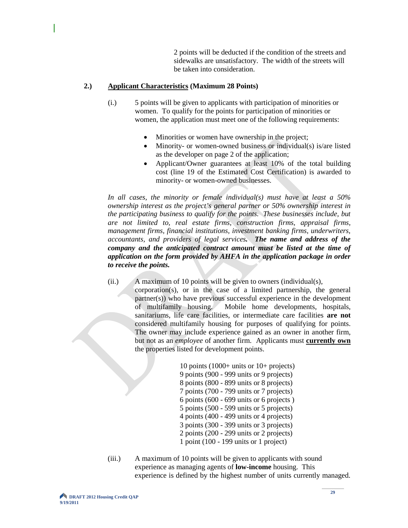2 points will be deducted if the condition of the streets and sidewalks are unsatisfactory. The width of the streets will be taken into consideration.

#### **2.) Applicant Characteristics (Maximum 28 Points)**

- (i.) 5 points will be given to applicants with participation of minorities or women. To qualify for the points for participation of minorities or women, the application must meet one of the following requirements:
	- Minorities or women have ownership in the project;
	- Minority- or women-owned business or individual(s) is/are listed as the developer on page 2 of the application;
	- Applicant/Owner guarantees at least 10% of the total building cost (line 19 of the Estimated Cost Certification) is awarded to minority- or women-owned businesses.

*In all cases, the minority or female individual(s) must have at least a 50% ownership interest as the project's general partner or 50% ownership interest in the participating business to qualify for the points. These businesses include, but are not limited to, real estate firms, construction firms, appraisal firms, management firms, financial institutions, investment banking firms, underwriters, accountants, and providers of legal services. The name and address of the company and the anticipated contract amount must be listed at the time of application on the form provided by AHFA in the application package in order to receive the points.*

(ii.) A maximum of 10 points will be given to owners (individual(s), corporation(s), or in the case of a limited partnership, the general partner(s)) who have previous successful experience in the development of multifamily housing. Mobile home developments, hospitals, sanitariums, life care facilities, or intermediate care facilities **are not** considered multifamily housing for purposes of qualifying for points. The owner may include experience gained as an owner in another firm, but not as an *employee* of another firm. Applicants must **currently own** the properties listed for development points.

> 10 points (1000+ units or 10+ projects) 9 points (900 - 999 units or 9 projects) 8 points (800 - 899 units or 8 projects) 7 points (700 - 799 units or 7 projects) 6 points (600 - 699 units or 6 projects ) 5 points (500 - 599 units or 5 projects) 4 points (400 - 499 units or 4 projects) 3 points (300 - 399 units or 3 projects) 2 points (200 - 299 units or 2 projects) 1 point (100 - 199 units or 1 project)

(iii.) A maximum of 10 points will be given to applicants with sound experience as managing agents of **low-income** housing. This experience is defined by the highest number of units currently managed.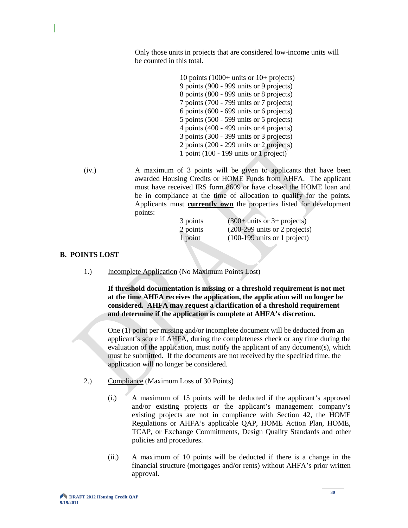Only those units in projects that are considered low-income units will be counted in this total.

> 10 points (1000+ units or 10+ projects) 9 points (900 - 999 units or 9 projects) 8 points (800 - 899 units or 8 projects) 7 points (700 - 799 units or 7 projects) 6 points (600 - 699 units or 6 projects) 5 points (500 - 599 units or 5 projects) 4 points (400 - 499 units or 4 projects) 3 points (300 - 399 units or 3 projects) 2 points (200 - 299 units or 2 projects) 1 point (100 - 199 units or 1 project)

(iv.) A maximum of 3 points will be given to applicants that have been awarded Housing Credits or HOME Funds from AHFA. The applicant must have received IRS form 8609 or have closed the HOME loan and be in compliance at the time of allocation to qualify for the points. Applicants must **currently own** the properties listed for development points:

| 3 points | $(300+$ units or 3+ projects)                    |
|----------|--------------------------------------------------|
| 2 points | $(200-299 \text{ units or } 2 \text{ projects})$ |
| 1 point  | $(100-199 \text{ units or } 1 \text{ project})$  |

#### **B. POINTS LOST**

1.) Incomplete Application (No Maximum Points Lost)

**If threshold documentation is missing or a threshold requirement is not met at the time AHFA receives the application, the application will no longer be considered. AHFA may request a clarification of a threshold requirement and determine if the application is complete at AHFA's discretion.** 

One (1) point per missing and/or incomplete document will be deducted from an applicant's score if AHFA, during the completeness check or any time during the evaluation of the application, must notify the applicant of any document(s), which must be submitted. If the documents are not received by the specified time, the application will no longer be considered.

- 2.) Compliance (Maximum Loss of 30 Points)
	- (i.) A maximum of 15 points will be deducted if the applicant's approved and/or existing projects or the applicant's management company's existing projects are not in compliance with Section 42, the HOME Regulations or AHFA's applicable QAP, HOME Action Plan, HOME, TCAP, or Exchange Commitments, Design Quality Standards and other policies and procedures.
	- (ii.) A maximum of 10 points will be deducted if there is a change in the financial structure (mortgages and/or rents) without AHFA's prior written approval.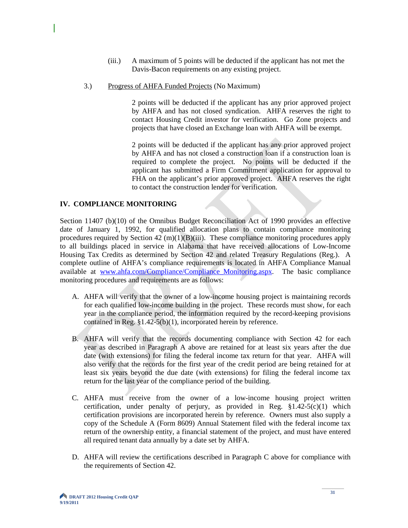- (iii.) A maximum of 5 points will be deducted if the applicant has not met the Davis-Bacon requirements on any existing project.
- 3.) Progress of AHFA Funded Projects (No Maximum)

2 points will be deducted if the applicant has any prior approved project by AHFA and has not closed syndication. AHFA reserves the right to contact Housing Credit investor for verification. Go Zone projects and projects that have closed an Exchange loan with AHFA will be exempt.

2 points will be deducted if the applicant has any prior approved project by AHFA and has not closed a construction loan if a construction loan is required to complete the project. No points will be deducted if the applicant has submitted a Firm Commitment application for approval to FHA on the applicant's prior approved project. AHFA reserves the right to contact the construction lender for verification.

#### **IV. COMPLIANCE MONITORING**

Section 11407 (b)(10) of the Omnibus Budget Reconciliation Act of 1990 provides an effective date of January 1, 1992, for qualified allocation plans to contain compliance monitoring procedures required by Section  $42 \text{ (m)}(1)(B)(iii)$ . These compliance monitoring procedures apply to all buildings placed in service in Alabama that have received allocations of Low-Income Housing Tax Credits as determined by Section 42 and related Treasury Regulations (Reg.). A complete outline of AHFA's compliance requirements is located in AHFA Compliance Manual available at www.ahfa.com/Compliance/Compliance Monitoring.aspx. The basic compliance monitoring procedures and requirements are as follows:

- A. AHFA will verify that the owner of a low-income housing project is maintaining records for each qualified low-income building in the project. These records must show, for each year in the compliance period, the information required by the record-keeping provisions contained in Reg. §1.42-5(b)(1), incorporated herein by reference.
- B. AHFA will verify that the records documenting compliance with Section 42 for each year as described in Paragraph A above are retained for at least six years after the due date (with extensions) for filing the federal income tax return for that year. AHFA will also verify that the records for the first year of the credit period are being retained for at least six years beyond the due date (with extensions) for filing the federal income tax return for the last year of the compliance period of the building.
- C. AHFA must receive from the owner of a low-income housing project written certification, under penalty of perjury, as provided in Reg.  $\S1.42-5(c)(1)$  which certification provisions are incorporated herein by reference. Owners must also supply a copy of the Schedule A (Form 8609) Annual Statement filed with the federal income tax return of the ownership entity, a financial statement of the project, and must have entered all required tenant data annually by a date set by AHFA.
- D. AHFA will review the certifications described in Paragraph C above for compliance with the requirements of Section 42.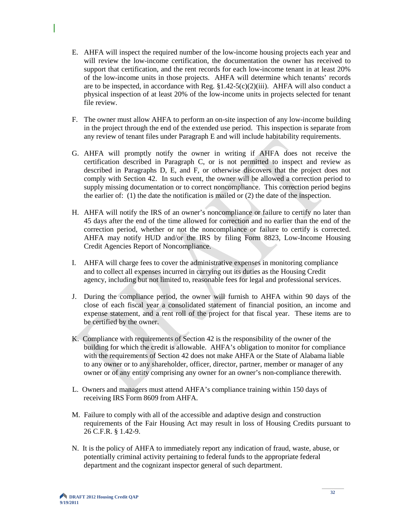- E. AHFA will inspect the required number of the low-income housing projects each year and will review the low-income certification, the documentation the owner has received to support that certification, and the rent records for each low-income tenant in at least 20% of the low-income units in those projects. AHFA will determine which tenants' records are to be inspected, in accordance with Reg.  $\S 1.42-5(c)(2)(iii)$ . AHFA will also conduct a physical inspection of at least 20% of the low-income units in projects selected for tenant file review.
- F. The owner must allow AHFA to perform an on-site inspection of any low-income building in the project through the end of the extended use period. This inspection is separate from any review of tenant files under Paragraph E and will include habitability requirements.
- G. AHFA will promptly notify the owner in writing if AHFA does not receive the certification described in Paragraph C, or is not permitted to inspect and review as described in Paragraphs D, E, and F, or otherwise discovers that the project does not comply with Section 42. In such event, the owner will be allowed a correction period to supply missing documentation or to correct noncompliance. This correction period begins the earlier of: (1) the date the notification is mailed or (2) the date of the inspection.
- H. AHFA will notify the IRS of an owner's noncompliance or failure to certify no later than 45 days after the end of the time allowed for correction and no earlier than the end of the correction period, whether or not the noncompliance or failure to certify is corrected. AHFA may notify HUD and/or the IRS by filing Form 8823, Low-Income Housing Credit Agencies Report of Noncompliance.
- I. AHFA will charge fees to cover the administrative expenses in monitoring compliance and to collect all expenses incurred in carrying out its duties as the Housing Credit agency, including but not limited to, reasonable fees for legal and professional services.
- J. During the compliance period, the owner will furnish to AHFA within 90 days of the close of each fiscal year a consolidated statement of financial position, an income and expense statement, and a rent roll of the project for that fiscal year. These items are to be certified by the owner.
- K. Compliance with requirements of Section 42 is the responsibility of the owner of the building for which the credit is allowable. AHFA's obligation to monitor for compliance with the requirements of Section 42 does not make AHFA or the State of Alabama liable to any owner or to any shareholder, officer, director, partner, member or manager of any owner or of any entity comprising any owner for an owner's non-compliance therewith.
- L. Owners and managers must attend AHFA's compliance training within 150 days of receiving IRS Form 8609 from AHFA.
- M. Failure to comply with all of the accessible and adaptive design and construction requirements of the Fair Housing Act may result in loss of Housing Credits pursuant to 26 C.F.R. § 1.42-9.
- N. It is the policy of AHFA to immediately report any indication of fraud, waste, abuse, or potentially criminal activity pertaining to federal funds to the appropriate federal department and the cognizant inspector general of such department.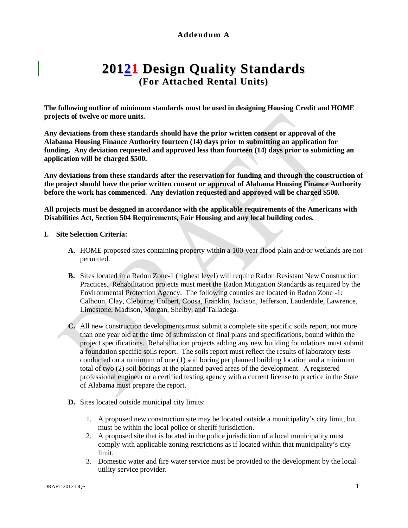# **Addendum A**

# **20121 Design Quality Standards (For Attached Rental Units)**

**The following outline of minimum standards must be used in designing Housing Credit and HOME projects of twelve or more units.**

**Any deviations from these standards should have the prior written consent or approval of the Alabama Housing Finance Authority fourteen (14) days prior to submitting an application for funding. Any deviation requested and approved less than fourteen (14) days prior to submitting an application will be charged \$500.**

**Any deviations from these standards after the reservation for funding and through the construction of the project should have the prior written consent or approval of Alabama Housing Finance Authority before the work has commenced. Any deviation requested and approved will be charged \$500.**

**All projects must be designed in accordance with the applicable requirements of the Americans with Disabilities Act, Section 504 Requirements, Fair Housing and any local building codes.**

#### **I. Site Selection Criteria:**

- **A.** HOME proposed sites containing property within a 100-year flood plain and/or wetlands are not permitted.
- **B.** Sites located in a Radon Zone-1 (highest level) will require Radon Resistant New Construction Practices. Rehabilitation projects must meet the Radon Mitigation Standards as required by the Environmental Protection Agency. The following counties are located in Radon Zone -1: Calhoun, Clay, Cleburne, Colbert, Coosa, Franklin, Jackson, Jefferson, Lauderdale, Lawrence, Limestone, Madison, Morgan, Shelby, and Talladega.
- **C.** All new construction developments must submit a complete site specific soils report, not more than one year old at the time of submission of final plans and specifications, bound within the project specifications. Rehabilitation projects adding any new building foundations must submit a foundation specific soils report. The soils report must reflect the results of laboratory tests conducted on a minimum of one (1) soil boring per planned building location and a minimum total of two (2) soil borings at the planned paved areas of the development. A registered professional engineer or a certified testing agency with a current license to practice in the State of Alabama must prepare the report.
- **D.** Sites located outside municipal city limits:
	- 1. A proposed new construction site may be located outside a municipality's city limit, but must be within the local police or sheriff jurisdiction.
	- 2. A proposed site that is located in the police jurisdiction of a local municipality must comply with applicable zoning restrictions as if located within that municipality's city limit.
	- 3. Domestic water and fire water service must be provided to the development by the local utility service provider.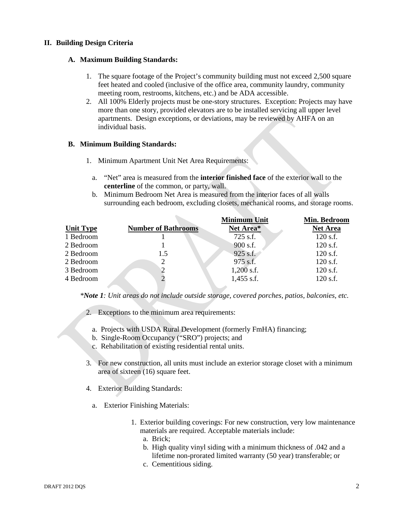#### **II. Building Design Criteria**

#### **A. Maximum Building Standards:**

- 1. The square footage of the Project's community building must not exceed 2,500 square feet heated and cooled (inclusive of the office area, community laundry, community meeting room, restrooms, kitchens, etc.) and be ADA accessible.
- 2. All 100% Elderly projects must be one-story structures. Exception: Projects may have more than one story, provided elevators are to be installed servicing all upper level apartments. Design exceptions, or deviations, may be reviewed by AHFA on an individual basis.

#### **B. Minimum Building Standards:**

- 1. Minimum Apartment Unit Net Area Requirements:
	- a. "Net" area is measured from the **interior finished face** of the exterior wall to the **centerline** of the common, or party, wall.
	- b. Minimum Bedroom Net Area is measured from the interior faces of all walls surrounding each bedroom, excluding closets, mechanical rooms, and storage rooms.

|                  |                            | <b>Minimum Unit</b> | Min. Bedroom    |
|------------------|----------------------------|---------------------|-----------------|
| <b>Unit Type</b> | <b>Number of Bathrooms</b> | Net Area*           | <b>Net Area</b> |
| 1 Bedroom        |                            | 725 s.f.            | $120$ s.f.      |
| 2 Bedroom        |                            | 900 s.f.            | $120$ s.f.      |
| 2 Bedroom        | 1.5                        | $925$ s.f.          | $120$ s.f.      |
| 2 Bedroom        | 2                          | 975 s.f.            | $120$ s.f.      |
| 3 Bedroom        |                            | $1,200$ s.f.        | $120$ s.f.      |
| 4 Bedroom        |                            | $1,455$ s.f.        | $120$ s.f.      |

*\*Note 1: Unit areas do not include outside storage, covered porches, patios, balconies, etc.* 

- 2. Exceptions to the minimum area requirements:
	- a. Projects with USDA Rural Development (formerly FmHA) financing;
	- b. Single-Room Occupancy ("SRO") projects; and
	- c. Rehabilitation of existing residential rental units.
- 3. For new construction, all units must include an exterior storage closet with a minimum area of sixteen (16) square feet.
- 4. Exterior Building Standards:
	- a. Exterior Finishing Materials:
		- 1. Exterior building coverings: For new construction, very low maintenance materials are required. Acceptable materials include:
			- a. Brick;
			- b. High quality vinyl siding with a minimum thickness of .042 and a lifetime non-prorated limited warranty (50 year) transferable; or
			- c. Cementitious siding.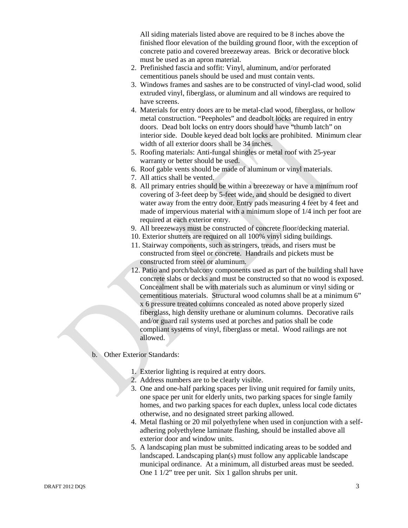All siding materials listed above are required to be 8 inches above the finished floor elevation of the building ground floor, with the exception of concrete patio and covered breezeway areas. Brick or decorative block must be used as an apron material.

- 2. Prefinished fascia and soffit: Vinyl, aluminum, and/or perforated cementitious panels should be used and must contain vents.
- 3. Windows frames and sashes are to be constructed of vinyl-clad wood, solid extruded vinyl, fiberglass, or aluminum and all windows are required to have screens.
- 4. Materials for entry doors are to be metal-clad wood, fiberglass, or hollow metal construction. "Peepholes" and deadbolt locks are required in entry doors. Dead bolt locks on entry doors should have "thumb latch" on interior side. Double keyed dead bolt locks are prohibited. Minimum clear width of all exterior doors shall be 34 inches.
- 5. Roofing materials: Anti-fungal shingles or metal roof with 25-year warranty or better should be used.
- 6. Roof gable vents should be made of aluminum or vinyl materials.
- 7. All attics shall be vented.
- 8. All primary entries should be within a breezeway or have a minimum roof covering of 3-feet deep by 5-feet wide, and should be designed to divert water away from the entry door. Entry pads measuring 4 feet by 4 feet and made of impervious material with a minimum slope of 1/4 inch per foot are required at each exterior entry.
- 9. All breezeways must be constructed of concrete floor/decking material.
- 10. Exterior shutters are required on all 100% vinyl siding buildings.
- 11. Stairway components, such as stringers, treads, and risers must be constructed from steel or concrete. Handrails and pickets must be constructed from steel or aluminum.
- 12. Patio and porch/balcony components used as part of the building shall have concrete slabs or decks and must be constructed so that no wood is exposed. Concealment shall be with materials such as aluminum or vinyl siding or cementitious materials. Structural wood columns shall be at a minimum 6" x 6 pressure treated columns concealed as noted above properly sized fiberglass, high density urethane or aluminum columns. Decorative rails and/or guard rail systems used at porches and patios shall be code compliant systems of vinyl, fiberglass or metal. Wood railings are not allowed.
- b. Other Exterior Standards:
	- 1. Exterior lighting is required at entry doors.
	- 2. Address numbers are to be clearly visible.
	- 3. One and one-half parking spaces per living unit required for family units, one space per unit for elderly units, two parking spaces for single family homes, and two parking spaces for each duplex, unless local code dictates otherwise, and no designated street parking allowed.
	- 4. Metal flashing or 20 mil polyethylene when used in conjunction with a selfadhering polyethylene laminate flashing, should be installed above all exterior door and window units.
	- 5. A landscaping plan must be submitted indicating areas to be sodded and landscaped. Landscaping plan(s) must follow any applicable landscape municipal ordinance. At a minimum, all disturbed areas must be seeded. One 1 1/2" tree per unit. Six 1 gallon shrubs per unit.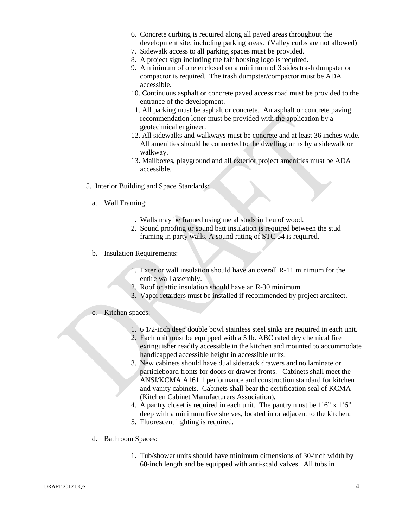- 6. Concrete curbing is required along all paved areas throughout the development site, including parking areas. (Valley curbs are not allowed)
- 7. Sidewalk access to all parking spaces must be provided.
- 8. A project sign including the fair housing logo is required.
- 9. A minimum of one enclosed on a minimum of 3 sides trash dumpster or compactor is required. The trash dumpster/compactor must be ADA accessible.
- 10. Continuous asphalt or concrete paved access road must be provided to the entrance of the development.
- 11. All parking must be asphalt or concrete. An asphalt or concrete paving recommendation letter must be provided with the application by a geotechnical engineer.
- 12. All sidewalks and walkways must be concrete and at least 36 inches wide. All amenities should be connected to the dwelling units by a sidewalk or walkway.
- 13. Mailboxes, playground and all exterior project amenities must be ADA accessible.
- 5. Interior Building and Space Standards:
	- a. Wall Framing:
		- 1. Walls may be framed using metal studs in lieu of wood.
		- 2. Sound proofing or sound batt insulation is required between the stud framing in party walls. A sound rating of STC 54 is required.
	- b. Insulation Requirements:
		- 1. Exterior wall insulation should have an overall R-11 minimum for the entire wall assembly.
		- 2. Roof or attic insulation should have an R-30 minimum.
		- 3. Vapor retarders must be installed if recommended by project architect.
	- c. Kitchen spaces:
		- 1. 6 1/2-inch deep double bowl stainless steel sinks are required in each unit.
		- 2. Each unit must be equipped with a 5 lb. ABC rated dry chemical fire extinguisher readily accessible in the kitchen and mounted to accommodate handicapped accessible height in accessible units.
		- 3. New cabinets should have dual sidetrack drawers and no laminate or particleboard fronts for doors or drawer fronts. Cabinets shall meet the ANSI/KCMA A161.1 performance and construction standard for kitchen and vanity cabinets. Cabinets shall bear the certification seal of KCMA (Kitchen Cabinet Manufacturers Association).
		- 4. A pantry closet is required in each unit. The pantry must be 1'6" x 1'6" deep with a minimum five shelves, located in or adjacent to the kitchen.
		- 5. Fluorescent lighting is required.
	- d. Bathroom Spaces:
		- 1. Tub/shower units should have minimum dimensions of 30-inch width by 60-inch length and be equipped with anti-scald valves. All tubs in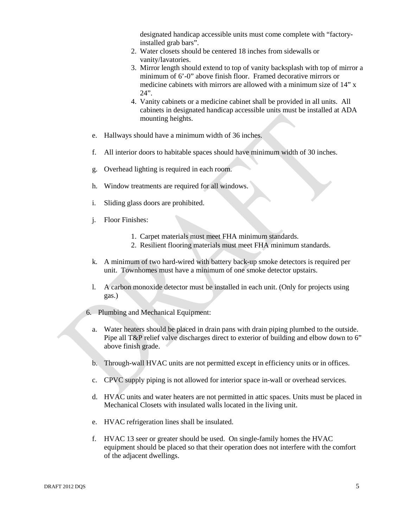designated handicap accessible units must come complete with "factoryinstalled grab bars".

- 2. Water closets should be centered 18 inches from sidewalls or vanity/lavatories.
- 3. Mirror length should extend to top of vanity backsplash with top of mirror a minimum of 6'-0" above finish floor. Framed decorative mirrors or medicine cabinets with mirrors are allowed with a minimum size of 14" x  $24"$
- 4. Vanity cabinets or a medicine cabinet shall be provided in all units. All cabinets in designated handicap accessible units must be installed at ADA mounting heights.
- e. Hallways should have a minimum width of 36 inches.
- f. All interior doors to habitable spaces should have minimum width of 30 inches.
- g. Overhead lighting is required in each room.
- h. Window treatments are required for all windows.
- i. Sliding glass doors are prohibited.
- j. Floor Finishes:
	- 1. Carpet materials must meet FHA minimum standards.
	- 2. Resilient flooring materials must meet FHA minimum standards.
- k. A minimum of two hard-wired with battery back-up smoke detectors is required per unit. Townhomes must have a minimum of one smoke detector upstairs.
- l. A carbon monoxide detector must be installed in each unit. (Only for projects using gas.)
- 6. Plumbing and Mechanical Equipment:
	- a. Water heaters should be placed in drain pans with drain piping plumbed to the outside. Pipe all T&P relief valve discharges direct to exterior of building and elbow down to 6" above finish grade.
	- b. Through-wall HVAC units are not permitted except in efficiency units or in offices.
	- c. CPVC supply piping is not allowed for interior space in-wall or overhead services.
	- d. HVAC units and water heaters are not permitted in attic spaces. Units must be placed in Mechanical Closets with insulated walls located in the living unit.
	- e. HVAC refrigeration lines shall be insulated.
	- f. HVAC 13 seer or greater should be used. On single-family homes the HVAC equipment should be placed so that their operation does not interfere with the comfort of the adjacent dwellings.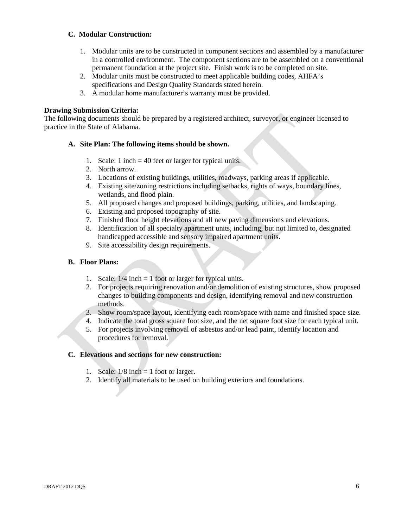#### **C. Modular Construction:**

- 1. Modular units are to be constructed in component sections and assembled by a manufacturer in a controlled environment. The component sections are to be assembled on a conventional permanent foundation at the project site. Finish work is to be completed on site.
- 2. Modular units must be constructed to meet applicable building codes, AHFA's specifications and Design Quality Standards stated herein.
- 3. A modular home manufacturer's warranty must be provided.

#### **Drawing Submission Criteria:**

The following documents should be prepared by a registered architect, surveyor, or engineer licensed to practice in the State of Alabama.

#### **A. Site Plan: The following items should be shown.**

- 1. Scale: 1 inch = 40 feet or larger for typical units.
- 2. North arrow.
- 3. Locations of existing buildings, utilities, roadways, parking areas if applicable.
- 4. Existing site/zoning restrictions including setbacks, rights of ways, boundary lines, wetlands, and flood plain.
- 5. All proposed changes and proposed buildings, parking, utilities, and landscaping.
- 6. Existing and proposed topography of site.
- 7. Finished floor height elevations and all new paving dimensions and elevations.
- 8. Identification of all specialty apartment units, including, but not limited to, designated handicapped accessible and sensory impaired apartment units.
- 9. Site accessibility design requirements.

#### **B. Floor Plans:**

- 1. Scale:  $1/4$  inch = 1 foot or larger for typical units.
- 2. For projects requiring renovation and/or demolition of existing structures, show proposed changes to building components and design, identifying removal and new construction methods.
- 3. Show room/space layout, identifying each room/space with name and finished space size.
- 4. Indicate the total gross square foot size, and the net square foot size for each typical unit.
- 5. For projects involving removal of asbestos and/or lead paint, identify location and procedures for removal.

#### **C. Elevations and sections for new construction:**

- 1. Scale:  $1/8$  inch = 1 foot or larger.
- 2. Identify all materials to be used on building exteriors and foundations.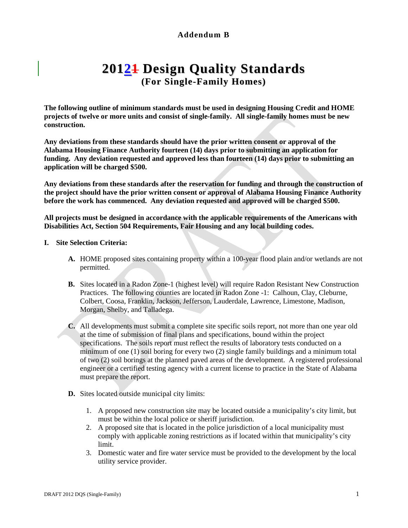# **Addendum B**

# **20121 Design Quality Standards (For Single-Family Homes)**

**The following outline of minimum standards must be used in designing Housing Credit and HOME projects of twelve or more units and consist of single-family. All single-family homes must be new construction.**

**Any deviations from these standards should have the prior written consent or approval of the Alabama Housing Finance Authority fourteen (14) days prior to submitting an application for funding. Any deviation requested and approved less than fourteen (14) days prior to submitting an application will be charged \$500.**

**Any deviations from these standards after the reservation for funding and through the construction of the project should have the prior written consent or approval of Alabama Housing Finance Authority before the work has commenced. Any deviation requested and approved will be charged \$500.**

**All projects must be designed in accordance with the applicable requirements of the Americans with Disabilities Act, Section 504 Requirements, Fair Housing and any local building codes.**

#### **I. Site Selection Criteria:**

- **A.** HOME proposed sites containing property within a 100-year flood plain and/or wetlands are not permitted.
- **B.** Sites located in a Radon Zone-1 (highest level) will require Radon Resistant New Construction Practices. The following counties are located in Radon Zone -1: Calhoun, Clay, Cleburne, Colbert, Coosa, Franklin, Jackson, Jefferson, Lauderdale, Lawrence, Limestone, Madison, Morgan, Shelby, and Talladega.
- **C.** All developments must submit a complete site specific soils report, not more than one year old at the time of submission of final plans and specifications, bound within the project specifications. The soils report must reflect the results of laboratory tests conducted on a minimum of one (1) soil boring for every two (2) single family buildings and a minimum total of two (2) soil borings at the planned paved areas of the development. A registered professional engineer or a certified testing agency with a current license to practice in the State of Alabama must prepare the report.
- **D.** Sites located outside municipal city limits:
	- 1. A proposed new construction site may be located outside a municipality's city limit, but must be within the local police or sheriff jurisdiction.
	- 2. A proposed site that is located in the police jurisdiction of a local municipality must comply with applicable zoning restrictions as if located within that municipality's city limit.
	- 3. Domestic water and fire water service must be provided to the development by the local utility service provider.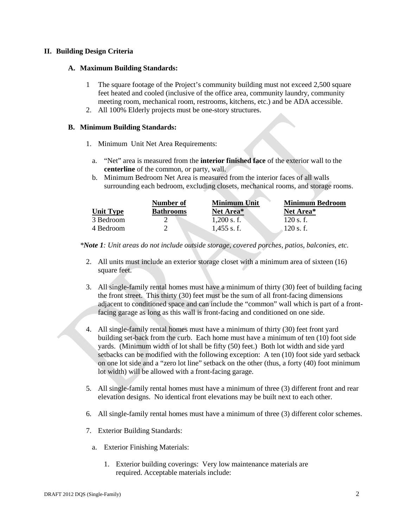#### **II. Building Design Criteria**

#### **A. Maximum Building Standards:**

- 1 The square footage of the Project's community building must not exceed 2,500 square feet heated and cooled (inclusive of the office area, community laundry, community meeting room, mechanical room, restrooms, kitchens, etc.) and be ADA accessible.
- 2. All 100% Elderly projects must be one-story structures.

#### **B. Minimum Building Standards:**

- 1. Minimum Unit Net Area Requirements:
	- a. "Net" area is measured from the **interior finished face** of the exterior wall to the **centerline** of the common, or party, wall.
	- b. Minimum Bedroom Net Area is measured from the interior faces of all walls surrounding each bedroom, excluding closets, mechanical rooms, and storage rooms.

|                  | Number of        | <b>Minimum Unit</b> | <b>Minimum Bedroom</b> |
|------------------|------------------|---------------------|------------------------|
| <b>Unit Type</b> | <b>Bathrooms</b> | Net Area*           | Net Area*              |
| 3 Bedroom        |                  | $1,200$ s. f.       | $120$ s. f.            |
| 4 Bedroom        |                  | $1.455$ s.f.        | 120 s.f.               |

*\*Note 1: Unit areas do not include outside storage, covered porches, patios, balconies, etc.* 

- 2. All units must include an exterior storage closet with a minimum area of sixteen (16) square feet.
- 3. All single-family rental homes must have a minimum of thirty (30) feet of building facing the front street. This thirty (30) feet must be the sum of all front-facing dimensions adjacent to conditioned space and can include the "common" wall which is part of a frontfacing garage as long as this wall is front-facing and conditioned on one side.
- 4. All single-family rental homes must have a minimum of thirty (30) feet front yard building set-back from the curb. Each home must have a minimum of ten (10) foot side yards. (Minimum width of lot shall be fifty (50) feet.) Both lot width and side yard setbacks can be modified with the following exception: A ten (10) foot side yard setback on one lot side and a "zero lot line" setback on the other (thus, a forty (40) foot minimum lot width) will be allowed with a front-facing garage.
- 5. All single-family rental homes must have a minimum of three (3) different front and rear elevation designs. No identical front elevations may be built next to each other.
- 6. All single-family rental homes must have a minimum of three (3) different color schemes.
- 7. Exterior Building Standards:
	- a. Exterior Finishing Materials:
		- 1. Exterior building coverings: Very low maintenance materials are required. Acceptable materials include: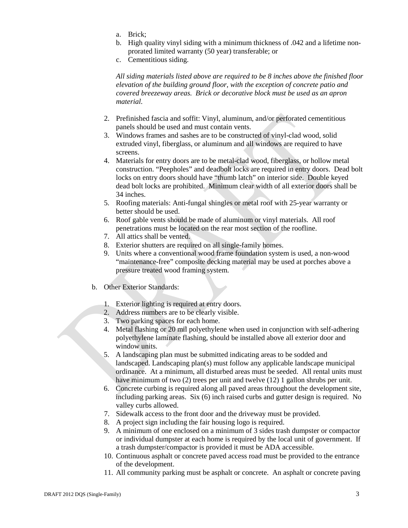- a. Brick;
- b. High quality vinyl siding with a minimum thickness of .042 and a lifetime nonprorated limited warranty (50 year) transferable; or
- c. Cementitious siding.

*All siding materials listed above are required to be 8 inches above the finished floor elevation of the building ground floor, with the exception of concrete patio and covered breezeway areas. Brick or decorative block must be used as an apron material.*

- 2. Prefinished fascia and soffit: Vinyl, aluminum, and/or perforated cementitious panels should be used and must contain vents.
- 3. Windows frames and sashes are to be constructed of vinyl-clad wood, solid extruded vinyl, fiberglass, or aluminum and all windows are required to have screens.
- 4. Materials for entry doors are to be metal-clad wood, fiberglass, or hollow metal construction. "Peepholes" and deadbolt locks are required in entry doors. Dead bolt locks on entry doors should have "thumb latch" on interior side. Double keyed dead bolt locks are prohibited. Minimum clear width of all exterior doors shall be 34 inches.
- 5. Roofing materials: Anti-fungal shingles or metal roof with 25-year warranty or better should be used.
- 6. Roof gable vents should be made of aluminum or vinyl materials. All roof penetrations must be located on the rear most section of the roofline.
- 7. All attics shall be vented.
- 8. Exterior shutters are required on all single-family homes.
- 9. Units where a conventional wood frame foundation system is used, a non-wood "maintenance-free" composite decking material may be used at porches above a pressure treated wood framing system.
- b. Other Exterior Standards:
	- 1. Exterior lighting is required at entry doors.
	- 2. Address numbers are to be clearly visible.
	- 3. Two parking spaces for each home.
	- 4. Metal flashing or 20 mil polyethylene when used in conjunction with self-adhering polyethylene laminate flashing, should be installed above all exterior door and window units.
	- 5. A landscaping plan must be submitted indicating areas to be sodded and landscaped. Landscaping plan(s) must follow any applicable landscape municipal ordinance. At a minimum, all disturbed areas must be seeded. All rental units must have minimum of two (2) trees per unit and twelve (12) 1 gallon shrubs per unit.
	- 6. Concrete curbing is required along all paved areas throughout the development site, including parking areas. Six (6) inch raised curbs and gutter design is required. No valley curbs allowed.
	- 7. Sidewalk access to the front door and the driveway must be provided.
	- 8. A project sign including the fair housing logo is required.
	- 9. A minimum of one enclosed on a minimum of 3 sides trash dumpster or compactor or individual dumpster at each home is required by the local unit of government. If a trash dumpster/compactor is provided it must be ADA accessible.
	- 10. Continuous asphalt or concrete paved access road must be provided to the entrance of the development.
	- 11. All community parking must be asphalt or concrete. An asphalt or concrete paving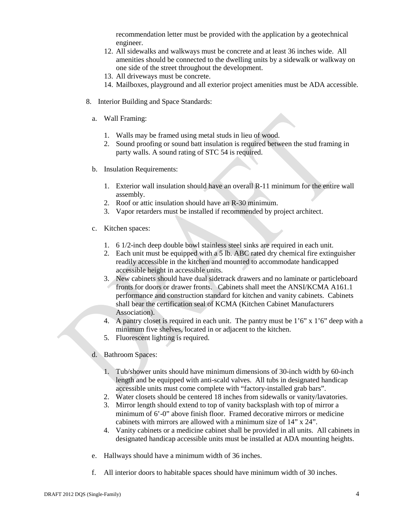recommendation letter must be provided with the application by a geotechnical engineer.

- 12. All sidewalks and walkways must be concrete and at least 36 inches wide. All amenities should be connected to the dwelling units by a sidewalk or walkway on one side of the street throughout the development.
- 13. All driveways must be concrete.
- 14. Mailboxes, playground and all exterior project amenities must be ADA accessible.
- 8. Interior Building and Space Standards:
	- a. Wall Framing:
		- 1. Walls may be framed using metal studs in lieu of wood.
		- 2. Sound proofing or sound batt insulation is required between the stud framing in party walls. A sound rating of STC 54 is required.
	- b. Insulation Requirements:
		- 1. Exterior wall insulation should have an overall R-11 minimum for the entire wall assembly.
		- 2. Roof or attic insulation should have an R-30 minimum.
		- 3. Vapor retarders must be installed if recommended by project architect.
	- c. Kitchen spaces:
		- 1. 6 1/2-inch deep double bowl stainless steel sinks are required in each unit.
		- 2. Each unit must be equipped with a 5 lb. ABC rated dry chemical fire extinguisher readily accessible in the kitchen and mounted to accommodate handicapped accessible height in accessible units.
		- 3. New cabinets should have dual sidetrack drawers and no laminate or particleboard fronts for doors or drawer fronts. Cabinets shall meet the ANSI/KCMA A161.1 performance and construction standard for kitchen and vanity cabinets. Cabinets shall bear the certification seal of KCMA (Kitchen Cabinet Manufacturers Association).
		- 4. A pantry closet is required in each unit. The pantry must be  $1'6''$  x  $1'6''$  deep with a minimum five shelves, located in or adjacent to the kitchen.
		- 5. Fluorescent lighting is required.
	- d. Bathroom Spaces:
		- 1. Tub/shower units should have minimum dimensions of 30-inch width by 60-inch length and be equipped with anti-scald valves. All tubs in designated handicap accessible units must come complete with "factory-installed grab bars".
		- 2. Water closets should be centered 18 inches from sidewalls or vanity/lavatories.
		- 3. Mirror length should extend to top of vanity backsplash with top of mirror a minimum of 6'-0" above finish floor. Framed decorative mirrors or medicine cabinets with mirrors are allowed with a minimum size of 14" x 24".
		- 4. Vanity cabinets or a medicine cabinet shall be provided in all units. All cabinets in designated handicap accessible units must be installed at ADA mounting heights.
	- e. Hallways should have a minimum width of 36 inches.
	- f. All interior doors to habitable spaces should have minimum width of 30 inches.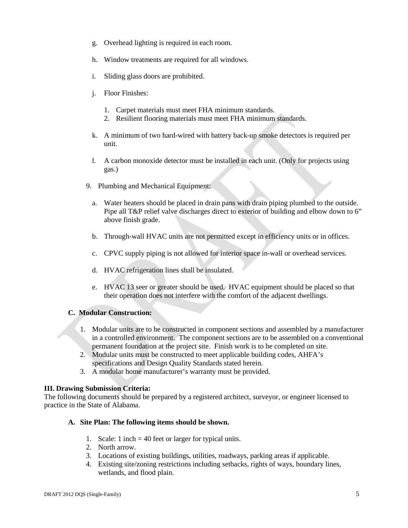- g. Overhead lighting is required in each room.
- h. Window treatments are required for all windows.
- i. Sliding glass doors are prohibited.
- j. Floor Finishes:
	- 1. Carpet materials must meet FHA minimum standards.
	- 2. Resilient flooring materials must meet FHA minimum standards.
- k. A minimum of two hard-wired with battery back-up smoke detectors is required per unit.
- l. A carbon monoxide detector must be installed in each unit. (Only for projects using gas.)
- 9. Plumbing and Mechanical Equipment:
	- a. Water heaters should be placed in drain pans with drain piping plumbed to the outside. Pipe all T&P relief valve discharges direct to exterior of building and elbow down to 6" above finish grade.
	- b. Through-wall HVAC units are not permitted except in efficiency units or in offices.
	- c. CPVC supply piping is not allowed for interior space in-wall or overhead services.
	- d. HVAC refrigeration lines shall be insulated.
	- e. HVAC 13 seer or greater should be used. HVAC equipment should be placed so that their operation does not interfere with the comfort of the adjacent dwellings.

#### **C. Modular Construction:**

- 1. Modular units are to be constructed in component sections and assembled by a manufacturer in a controlled environment. The component sections are to be assembled on a conventional permanent foundation at the project site. Finish work is to be completed on site.
- 2. Modular units must be constructed to meet applicable building codes, AHFA's specifications and Design Quality Standards stated herein.
- 3. A modular home manufacturer's warranty must be provided.

#### **III. Drawing Submission Criteria:**

The following documents should be prepared by a registered architect, surveyor, or engineer licensed to practice in the State of Alabama.

#### **A. Site Plan: The following items should be shown.**

- 1. Scale: 1 inch = 40 feet or larger for typical units.
- 2. North arrow.
- 3. Locations of existing buildings, utilities, roadways, parking areas if applicable.
- 4. Existing site/zoning restrictions including setbacks, rights of ways, boundary lines, wetlands, and flood plain.